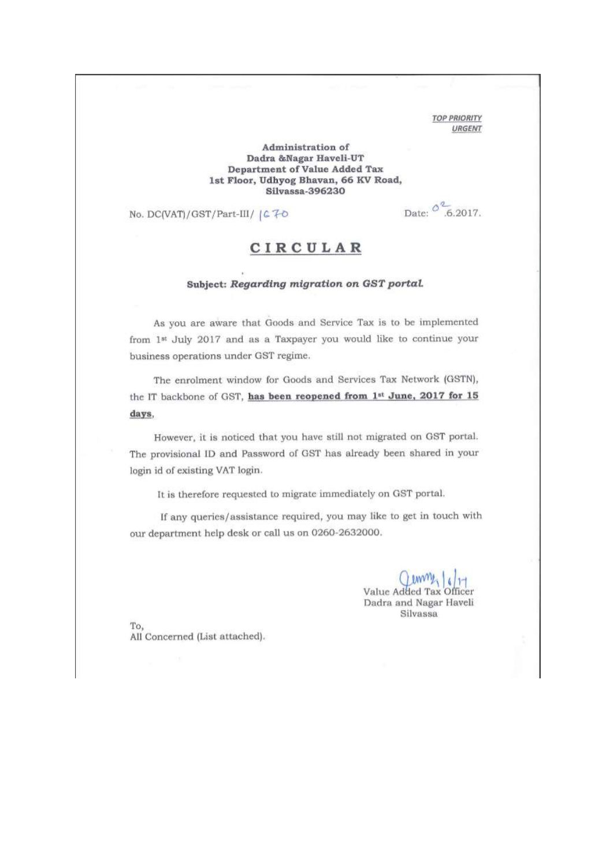**TOP PRIORITY** URGENT

## Administration of Dadra &Nagar Haveli-UT Department of Value Added Tax 1st Floor, Udhyog Bhavan, 66 KV Road, Silvassa-396230

No. DC(VAT)/GST/Part-III/ | C 70

Date:  $0^{2}$  .6.2017.

## CIRCULAR

## Subject: Regarding migration on GST portal.

As you are aware that Goods and Service Tax is to be implemented from 1st July 2017 and as a Taxpayer you would like to continue your business operations under GST regime.

The enrolment window for Goods and Services Tax Network (GSTN), the IT backbone of GST, has been reopened from 1st June, 2017 for 15 days.

However, it is noticed that you have still not migrated on GST portal. The provisional ID and Password of GST has already been shared in your login id of existing VAT login.

It is therefore requested to migrate immediately on GST portal.

If any queries/assistance required, you may like to get in touch with our department help desk or call us on 0260-2632000.

> Value Added Tax Officer Dadra and Nagar Haveli Silvassa

To. All Concerned (List attached).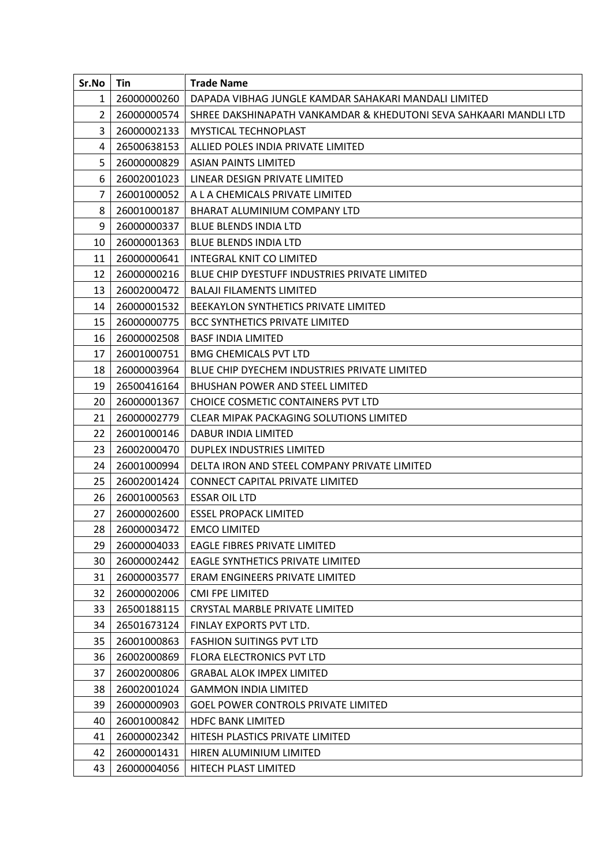| Sr.No          | Tin         | <b>Trade Name</b>                                                 |
|----------------|-------------|-------------------------------------------------------------------|
| 1              | 26000000260 | DAPADA VIBHAG JUNGLE KAMDAR SAHAKARI MANDALI LIMITED              |
| $\overline{2}$ | 26000000574 | SHREE DAKSHINAPATH VANKAMDAR & KHEDUTONI SEVA SAHKAARI MANDLI LTD |
| 3              | 26000002133 | <b>MYSTICAL TECHNOPLAST</b>                                       |
| 4              | 26500638153 | ALLIED POLES INDIA PRIVATE LIMITED                                |
| 5              | 26000000829 | <b>ASIAN PAINTS LIMITED</b>                                       |
| 6              | 26002001023 | LINEAR DESIGN PRIVATE LIMITED                                     |
| $\overline{7}$ | 26001000052 | A L A CHEMICALS PRIVATE LIMITED                                   |
| 8              | 26001000187 | BHARAT ALUMINIUM COMPANY LTD                                      |
| 9              | 26000000337 | <b>BLUE BLENDS INDIA LTD</b>                                      |
| 10             | 26000001363 | <b>BLUE BLENDS INDIA LTD</b>                                      |
| 11             | 26000000641 | <b>INTEGRAL KNIT CO LIMITED</b>                                   |
| 12             | 26000000216 | <b>BLUE CHIP DYESTUFF INDUSTRIES PRIVATE LIMITED</b>              |
| 13             | 26002000472 | <b>BALAJI FILAMENTS LIMITED</b>                                   |
| 14             | 26000001532 | BEEKAYLON SYNTHETICS PRIVATE LIMITED                              |
| 15             | 26000000775 | <b>BCC SYNTHETICS PRIVATE LIMITED</b>                             |
| 16             | 26000002508 | <b>BASF INDIA LIMITED</b>                                         |
| 17             | 26001000751 | <b>BMG CHEMICALS PVT LTD</b>                                      |
| 18             | 26000003964 | BLUE CHIP DYECHEM INDUSTRIES PRIVATE LIMITED                      |
| 19             | 26500416164 | <b>BHUSHAN POWER AND STEEL LIMITED</b>                            |
| 20             | 26000001367 | CHOICE COSMETIC CONTAINERS PVT LTD                                |
| 21             | 26000002779 | CLEAR MIPAK PACKAGING SOLUTIONS LIMITED                           |
| 22             | 26001000146 | DABUR INDIA LIMITED                                               |
| 23             | 26002000470 | DUPLEX INDUSTRIES LIMITED                                         |
| 24             | 26001000994 | DELTA IRON AND STEEL COMPANY PRIVATE LIMITED                      |
| 25             | 26002001424 | <b>CONNECT CAPITAL PRIVATE LIMITED</b>                            |
| 26             | 26001000563 | <b>ESSAR OIL LTD</b>                                              |
| 27             | 26000002600 | <b>ESSEL PROPACK LIMITED</b>                                      |
| 28             | 26000003472 | <b>EMCO LIMITED</b>                                               |
| 29             | 26000004033 | <b>EAGLE FIBRES PRIVATE LIMITED</b>                               |
| 30             | 26000002442 | <b>EAGLE SYNTHETICS PRIVATE LIMITED</b>                           |
| 31             | 26000003577 | ERAM ENGINEERS PRIVATE LIMITED                                    |
| 32             | 26000002006 | <b>CMI FPE LIMITED</b>                                            |
| 33             | 26500188115 | <b>CRYSTAL MARBLE PRIVATE LIMITED</b>                             |
| 34             | 26501673124 | FINLAY EXPORTS PVT LTD.                                           |
| 35             | 26001000863 | <b>FASHION SUITINGS PVT LTD</b>                                   |
| 36             | 26002000869 | <b>FLORA ELECTRONICS PVT LTD</b>                                  |
| 37             | 26002000806 | <b>GRABAL ALOK IMPEX LIMITED</b>                                  |
| 38             | 26002001024 | <b>GAMMON INDIA LIMITED</b>                                       |
| 39             | 26000000903 | <b>GOEL POWER CONTROLS PRIVATE LIMITED</b>                        |
| 40             | 26001000842 | <b>HDFC BANK LIMITED</b>                                          |
| 41             | 26000002342 | HITESH PLASTICS PRIVATE LIMITED                                   |
| 42             | 26000001431 | HIREN ALUMINIUM LIMITED                                           |
| 43             | 26000004056 | HITECH PLAST LIMITED                                              |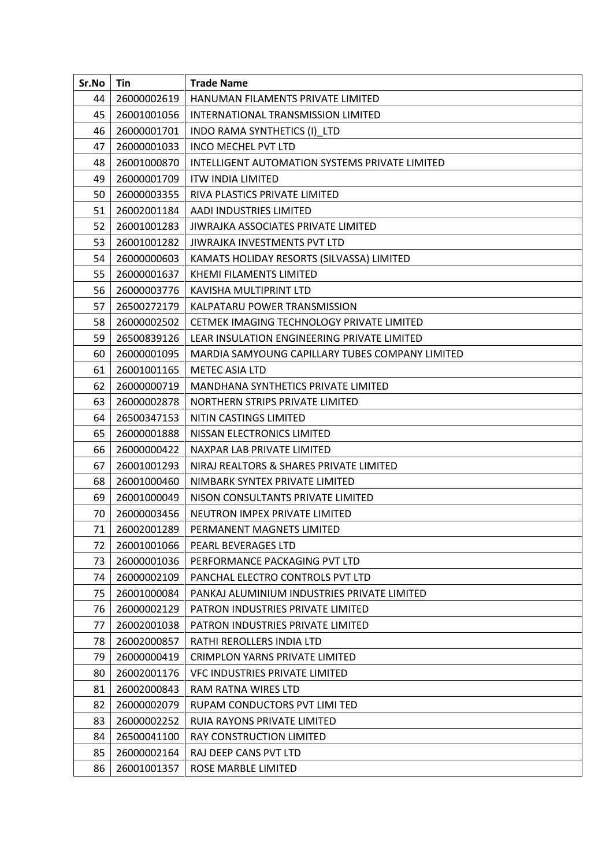| Sr.No | Tin         | <b>Trade Name</b>                               |
|-------|-------------|-------------------------------------------------|
| 44    | 26000002619 | HANUMAN FILAMENTS PRIVATE LIMITED               |
| 45    | 26001001056 | INTERNATIONAL TRANSMISSION LIMITED              |
| 46    | 26000001701 | INDO RAMA SYNTHETICS (I)_LTD                    |
| 47    | 26000001033 | <b>INCO MECHEL PVT LTD</b>                      |
| 48    | 26001000870 | INTELLIGENT AUTOMATION SYSTEMS PRIVATE LIMITED  |
| 49    | 26000001709 | <b>ITW INDIA LIMITED</b>                        |
| 50    | 26000003355 | RIVA PLASTICS PRIVATE LIMITED                   |
| 51    | 26002001184 | AADI INDUSTRIES LIMITED                         |
| 52    | 26001001283 | JIWRAJKA ASSOCIATES PRIVATE LIMITED             |
| 53    | 26001001282 | JIWRAJKA INVESTMENTS PVT LTD                    |
| 54    | 26000000603 | KAMATS HOLIDAY RESORTS (SILVASSA) LIMITED       |
| 55    | 26000001637 | KHEMI FILAMENTS LIMITED                         |
| 56    | 26000003776 | KAVISHA MULTIPRINT LTD                          |
| 57    | 26500272179 | KALPATARU POWER TRANSMISSION                    |
| 58    | 26000002502 | CETMEK IMAGING TECHNOLOGY PRIVATE LIMITED       |
| 59    | 26500839126 | LEAR INSULATION ENGINEERING PRIVATE LIMITED     |
| 60    | 26000001095 | MARDIA SAMYOUNG CAPILLARY TUBES COMPANY LIMITED |
| 61    | 26001001165 | <b>METEC ASIA LTD</b>                           |
| 62    | 26000000719 | MANDHANA SYNTHETICS PRIVATE LIMITED             |
| 63    | 26000002878 | NORTHERN STRIPS PRIVATE LIMITED                 |
| 64    | 26500347153 | NITIN CASTINGS LIMITED                          |
| 65    | 26000001888 | NISSAN ELECTRONICS LIMITED                      |
| 66    | 26000000422 | NAXPAR LAB PRIVATE LIMITED                      |
| 67    | 26001001293 | NIRAJ REALTORS & SHARES PRIVATE LIMITED         |
| 68    | 26001000460 | NIMBARK SYNTEX PRIVATE LIMITED                  |
| 69    | 26001000049 | NISON CONSULTANTS PRIVATE LIMITED               |
| 70    | 26000003456 | NEUTRON IMPEX PRIVATE LIMITED                   |
| 71    | 26002001289 | PERMANENT MAGNETS LIMITED                       |
| 72    | 26001001066 | PEARL BEVERAGES LTD                             |
| 73    | 26000001036 | PERFORMANCE PACKAGING PVT LTD                   |
| 74    | 26000002109 | PANCHAL ELECTRO CONTROLS PVT LTD                |
| 75    | 26001000084 | PANKAJ ALUMINIUM INDUSTRIES PRIVATE LIMITED     |
| 76    | 26000002129 | PATRON INDUSTRIES PRIVATE LIMITED               |
| 77    | 26002001038 | PATRON INDUSTRIES PRIVATE LIMITED               |
| 78    | 26002000857 | RATHI REROLLERS INDIA LTD                       |
| 79    | 26000000419 | <b>CRIMPLON YARNS PRIVATE LIMITED</b>           |
| 80    | 26002001176 | <b>VFC INDUSTRIES PRIVATE LIMITED</b>           |
| 81    | 26002000843 | RAM RATNA WIRES LTD                             |
| 82    | 26000002079 | RUPAM CONDUCTORS PVT LIMI TED                   |
| 83    | 26000002252 | RUIA RAYONS PRIVATE LIMITED                     |
| 84    | 26500041100 | RAY CONSTRUCTION LIMITED                        |
| 85    | 26000002164 | RAJ DEEP CANS PVT LTD                           |
| 86    | 26001001357 | ROSE MARBLE LIMITED                             |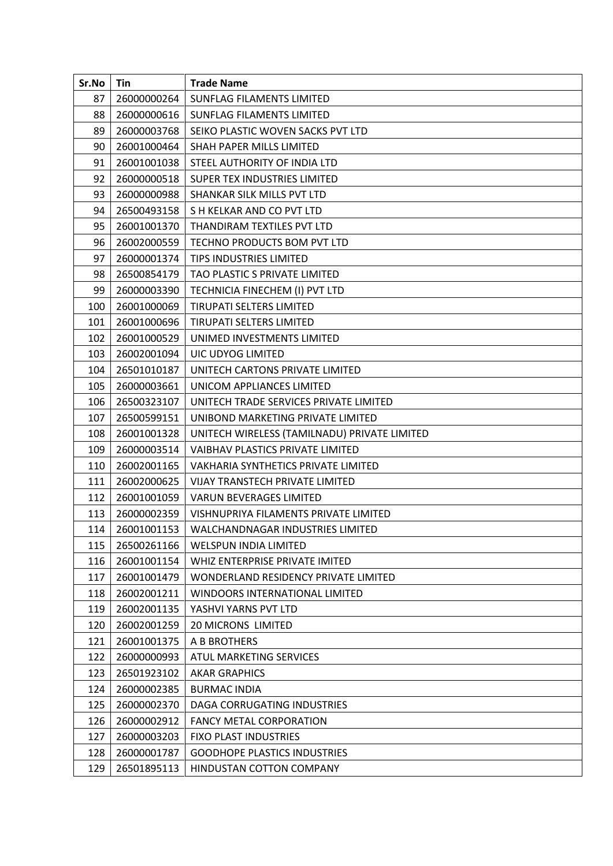| Sr.No | Tin         | <b>Trade Name</b>                            |
|-------|-------------|----------------------------------------------|
| 87    | 26000000264 | <b>SUNFLAG FILAMENTS LIMITED</b>             |
| 88    | 26000000616 | <b>SUNFLAG FILAMENTS LIMITED</b>             |
| 89    | 26000003768 | SEIKO PLASTIC WOVEN SACKS PVT LTD            |
| 90    | 26001000464 | SHAH PAPER MILLS LIMITED                     |
| 91    | 26001001038 | STEEL AUTHORITY OF INDIA LTD                 |
| 92    | 26000000518 | SUPER TEX INDUSTRIES LIMITED                 |
| 93    | 26000000988 | SHANKAR SILK MILLS PVT LTD                   |
| 94    | 26500493158 | S H KELKAR AND CO PVT LTD                    |
| 95    | 26001001370 | THANDIRAM TEXTILES PVT LTD                   |
| 96    | 26002000559 | TECHNO PRODUCTS BOM PVT LTD                  |
| 97    | 26000001374 | <b>TIPS INDUSTRIES LIMITED</b>               |
| 98    | 26500854179 | TAO PLASTIC S PRIVATE LIMITED                |
| 99    | 26000003390 | TECHNICIA FINECHEM (I) PVT LTD               |
| 100   | 26001000069 | <b>TIRUPATI SELTERS LIMITED</b>              |
| 101   | 26001000696 | <b>TIRUPATI SELTERS LIMITED</b>              |
| 102   | 26001000529 | UNIMED INVESTMENTS LIMITED                   |
| 103   | 26002001094 | UIC UDYOG LIMITED                            |
| 104   | 26501010187 | UNITECH CARTONS PRIVATE LIMITED              |
| 105   | 26000003661 | UNICOM APPLIANCES LIMITED                    |
| 106   | 26500323107 | UNITECH TRADE SERVICES PRIVATE LIMITED       |
| 107   | 26500599151 | UNIBOND MARKETING PRIVATE LIMITED            |
| 108   | 26001001328 | UNITECH WIRELESS (TAMILNADU) PRIVATE LIMITED |
| 109   | 26000003514 | VAIBHAV PLASTICS PRIVATE LIMITED             |
| 110   | 26002001165 | VAKHARIA SYNTHETICS PRIVATE LIMITED          |
| 111   | 26002000625 | <b>VIJAY TRANSTECH PRIVATE LIMITED</b>       |
| 112   | 26001001059 | <b>VARUN BEVERAGES LIMITED</b>               |
| 113   | 26000002359 | VISHNUPRIYA FILAMENTS PRIVATE LIMITED        |
| 114   | 26001001153 | WALCHANDNAGAR INDUSTRIES LIMITED             |
| 115   | 26500261166 | <b>WELSPUN INDIA LIMITED</b>                 |
| 116   | 26001001154 | WHIZ ENTERPRISE PRIVATE IMITED               |
| 117   | 26001001479 | WONDERLAND RESIDENCY PRIVATE LIMITED         |
| 118   | 26002001211 | WINDOORS INTERNATIONAL LIMITED               |
| 119   | 26002001135 | YASHVI YARNS PVT LTD                         |
| 120   | 26002001259 | <b>20 MICRONS LIMITED</b>                    |
| 121   | 26001001375 | A B BROTHERS                                 |
| 122   | 26000000993 | ATUL MARKETING SERVICES                      |
| 123   | 26501923102 | <b>AKAR GRAPHICS</b>                         |
| 124   | 26000002385 | <b>BURMAC INDIA</b>                          |
| 125   | 26000002370 | DAGA CORRUGATING INDUSTRIES                  |
| 126   | 26000002912 | <b>FANCY METAL CORPORATION</b>               |
| 127   | 26000003203 | <b>FIXO PLAST INDUSTRIES</b>                 |
| 128   | 26000001787 | <b>GOODHOPE PLASTICS INDUSTRIES</b>          |
| 129   | 26501895113 | HINDUSTAN COTTON COMPANY                     |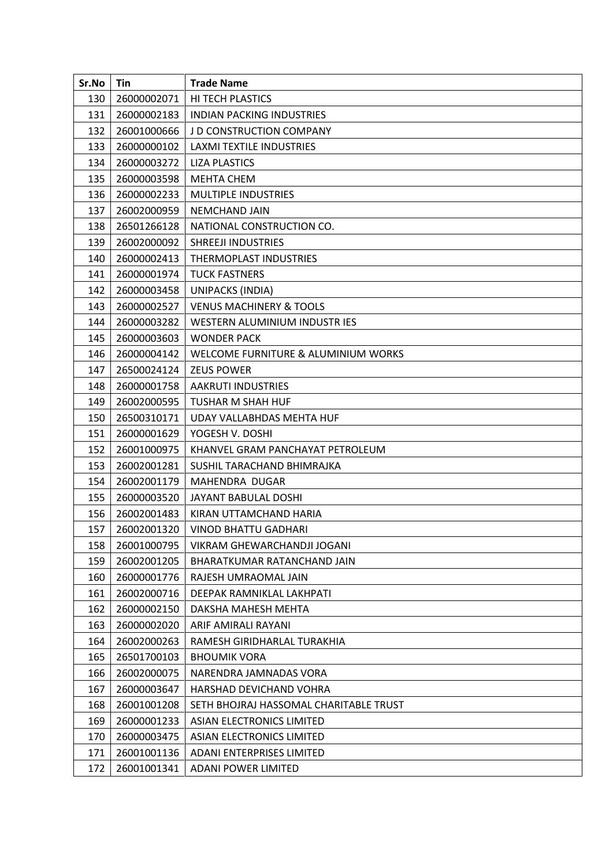| Sr.No | Tin         | <b>Trade Name</b>                      |
|-------|-------------|----------------------------------------|
| 130   | 26000002071 | HI TECH PLASTICS                       |
| 131   | 26000002183 | <b>INDIAN PACKING INDUSTRIES</b>       |
| 132   | 26001000666 | <b>J D CONSTRUCTION COMPANY</b>        |
| 133   | 26000000102 | <b>LAXMI TEXTILE INDUSTRIES</b>        |
| 134   | 26000003272 | <b>LIZA PLASTICS</b>                   |
| 135   | 26000003598 | <b>MEHTA CHEM</b>                      |
| 136   | 26000002233 | <b>MULTIPLE INDUSTRIES</b>             |
| 137   | 26002000959 | <b>NEMCHAND JAIN</b>                   |
| 138   | 26501266128 | NATIONAL CONSTRUCTION CO.              |
| 139   | 26002000092 | SHREEJI INDUSTRIES                     |
| 140   | 26000002413 | THERMOPLAST INDUSTRIES                 |
| 141   | 26000001974 | <b>TUCK FASTNERS</b>                   |
| 142   | 26000003458 | UNIPACKS (INDIA)                       |
| 143   | 26000002527 | <b>VENUS MACHINERY &amp; TOOLS</b>     |
| 144   | 26000003282 | WESTERN ALUMINIUM INDUSTRIES           |
| 145   | 26000003603 | <b>WONDER PACK</b>                     |
| 146   | 26000004142 | WELCOME FURNITURE & ALUMINIUM WORKS    |
| 147   | 26500024124 | <b>ZEUS POWER</b>                      |
| 148   | 26000001758 | AAKRUTI INDUSTRIES                     |
| 149   | 26002000595 | TUSHAR M SHAH HUF                      |
| 150   | 26500310171 | UDAY VALLABHDAS MEHTA HUF              |
| 151   | 26000001629 | YOGESH V. DOSHI                        |
| 152   | 26001000975 | KHANVEL GRAM PANCHAYAT PETROLEUM       |
| 153   | 26002001281 | SUSHIL TARACHAND BHIMRAJKA             |
| 154   | 26002001179 | MAHENDRA DUGAR                         |
| 155   | 26000003520 | JAYANT BABULAL DOSHI                   |
| 156   | 26002001483 | KIRAN UTTAMCHAND HARIA                 |
| 157   | 26002001320 | <b>VINOD BHATTU GADHARI</b>            |
| 158   | 26001000795 | VIKRAM GHEWARCHANDJI JOGANI            |
| 159   | 26002001205 | BHARATKUMAR RATANCHAND JAIN            |
| 160   | 26000001776 | RAJESH UMRAOMAL JAIN                   |
| 161   | 26002000716 | DEEPAK RAMNIKLAL LAKHPATI              |
| 162   | 26000002150 | DAKSHA MAHESH MEHTA                    |
| 163   | 26000002020 | ARIF AMIRALI RAYANI                    |
| 164   | 26002000263 | RAMESH GIRIDHARLAL TURAKHIA            |
| 165   | 26501700103 | <b>BHOUMIK VORA</b>                    |
| 166   | 26002000075 | NARENDRA JAMNADAS VORA                 |
| 167   | 26000003647 | HARSHAD DEVICHAND VOHRA                |
| 168   | 26001001208 | SETH BHOJRAJ HASSOMAL CHARITABLE TRUST |
| 169   | 26000001233 | ASIAN ELECTRONICS LIMITED              |
| 170   | 26000003475 | <b>ASIAN ELECTRONICS LIMITED</b>       |
| 171   | 26001001136 | ADANI ENTERPRISES LIMITED              |
| 172   | 26001001341 | <b>ADANI POWER LIMITED</b>             |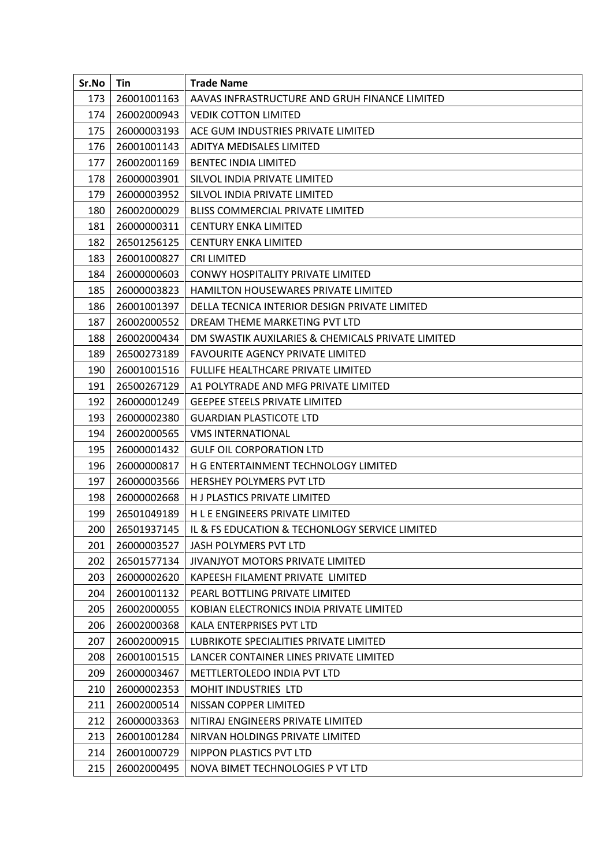| Sr.No | Tin         | <b>Trade Name</b>                                 |
|-------|-------------|---------------------------------------------------|
| 173   | 26001001163 | AAVAS INFRASTRUCTURE AND GRUH FINANCE LIMITED     |
| 174   | 26002000943 | <b>VEDIK COTTON LIMITED</b>                       |
| 175   | 26000003193 | ACE GUM INDUSTRIES PRIVATE LIMITED                |
| 176   | 26001001143 | ADITYA MEDISALES LIMITED                          |
| 177   | 26002001169 | <b>BENTEC INDIA LIMITED</b>                       |
| 178   | 26000003901 | SILVOL INDIA PRIVATE LIMITED                      |
| 179   | 26000003952 | SILVOL INDIA PRIVATE LIMITED                      |
| 180   | 26002000029 | <b>BLISS COMMERCIAL PRIVATE LIMITED</b>           |
| 181   | 26000000311 | <b>CENTURY ENKA LIMITED</b>                       |
| 182   | 26501256125 | <b>CENTURY ENKA LIMITED</b>                       |
| 183   | 26001000827 | <b>CRI LIMITED</b>                                |
| 184   | 26000000603 | <b>CONWY HOSPITALITY PRIVATE LIMITED</b>          |
| 185   | 26000003823 | <b>HAMILTON HOUSEWARES PRIVATE LIMITED</b>        |
| 186   | 26001001397 | DELLA TECNICA INTERIOR DESIGN PRIVATE LIMITED     |
| 187   | 26002000552 | DREAM THEME MARKETING PVT LTD                     |
| 188   | 26002000434 | DM SWASTIK AUXILARIES & CHEMICALS PRIVATE LIMITED |
| 189   | 26500273189 | <b>FAVOURITE AGENCY PRIVATE LIMITED</b>           |
| 190   | 26001001516 | <b>FULLIFE HEALTHCARE PRIVATE LIMITED</b>         |
| 191   | 26500267129 | A1 POLYTRADE AND MFG PRIVATE LIMITED              |
| 192   | 26000001249 | <b>GEEPEE STEELS PRIVATE LIMITED</b>              |
| 193   | 26000002380 | <b>GUARDIAN PLASTICOTE LTD</b>                    |
| 194   | 26002000565 | <b><i>VMS INTERNATIONAL</i></b>                   |
| 195   | 26000001432 | <b>GULF OIL CORPORATION LTD</b>                   |
| 196   | 26000000817 | H G ENTERTAINMENT TECHNOLOGY LIMITED              |
| 197   | 26000003566 | <b>HERSHEY POLYMERS PVT LTD</b>                   |
| 198   | 26000002668 | H J PLASTICS PRIVATE LIMITED                      |
| 199   | 26501049189 | H L E ENGINEERS PRIVATE LIMITED                   |
| 200   | 26501937145 | IL & FS EDUCATION & TECHONLOGY SERVICE LIMITED    |
| 201   | 26000003527 | JASH POLYMERS PVT LTD                             |
| 202   | 26501577134 | JIVANJYOT MOTORS PRIVATE LIMITED                  |
| 203   | 26000002620 | KAPEESH FILAMENT PRIVATE LIMITED                  |
| 204   | 26001001132 | PEARL BOTTLING PRIVATE LIMITED                    |
| 205   | 26002000055 | KOBIAN ELECTRONICS INDIA PRIVATE LIMITED          |
| 206   | 26002000368 | KALA ENTERPRISES PVT LTD                          |
| 207   | 26002000915 | LUBRIKOTE SPECIALITIES PRIVATE LIMITED            |
| 208   | 26001001515 | LANCER CONTAINER LINES PRIVATE LIMITED            |
| 209   | 26000003467 | METTLERTOLEDO INDIA PVT LTD                       |
| 210   | 26000002353 | MOHIT INDUSTRIES LTD                              |
| 211   | 26002000514 | NISSAN COPPER LIMITED                             |
| 212   | 26000003363 | NITIRAJ ENGINEERS PRIVATE LIMITED                 |
| 213   | 26001001284 | NIRVAN HOLDINGS PRIVATE LIMITED                   |
| 214   | 26001000729 | NIPPON PLASTICS PVT LTD                           |
| 215   | 26002000495 | NOVA BIMET TECHNOLOGIES P VT LTD                  |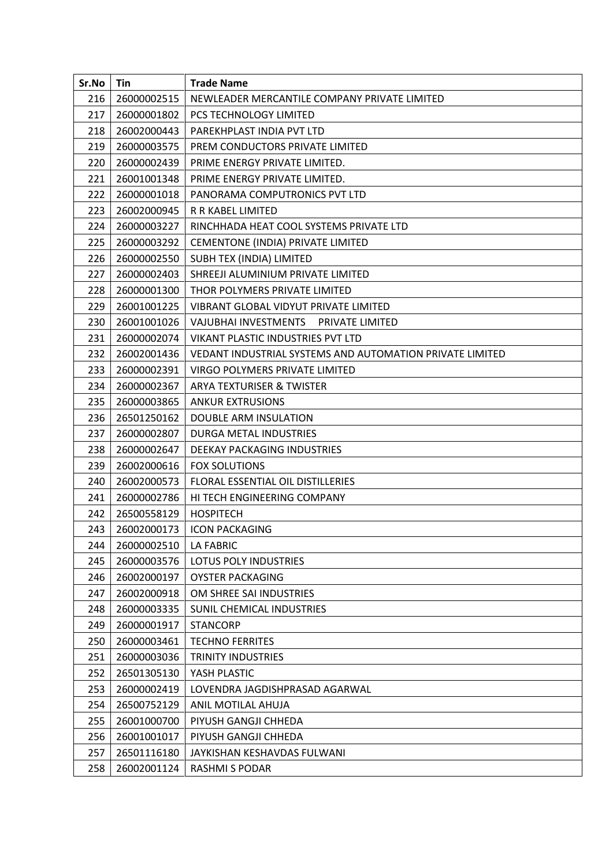| Sr.No | Tin         | <b>Trade Name</b>                                        |
|-------|-------------|----------------------------------------------------------|
| 216   | 26000002515 | NEWLEADER MERCANTILE COMPANY PRIVATE LIMITED             |
| 217   | 26000001802 | PCS TECHNOLOGY LIMITED                                   |
| 218   | 26002000443 | PAREKHPLAST INDIA PVT LTD                                |
| 219   | 26000003575 | PREM CONDUCTORS PRIVATE LIMITED                          |
| 220   | 26000002439 | PRIME ENERGY PRIVATE LIMITED.                            |
| 221   | 26001001348 | PRIME ENERGY PRIVATE LIMITED.                            |
| 222   | 26000001018 | PANORAMA COMPUTRONICS PVT LTD                            |
| 223   | 26002000945 | R R KABEL LIMITED                                        |
| 224   | 26000003227 | RINCHHADA HEAT COOL SYSTEMS PRIVATE LTD                  |
| 225   | 26000003292 | CEMENTONE (INDIA) PRIVATE LIMITED                        |
| 226   | 26000002550 | SUBH TEX (INDIA) LIMITED                                 |
| 227   | 26000002403 | SHREEJI ALUMINIUM PRIVATE LIMITED                        |
| 228   | 26000001300 | THOR POLYMERS PRIVATE LIMITED                            |
| 229   | 26001001225 | VIBRANT GLOBAL VIDYUT PRIVATE LIMITED                    |
| 230   | 26001001026 | VAJUBHAI INVESTMENTS PRIVATE LIMITED                     |
| 231   | 26000002074 | VIKANT PLASTIC INDUSTRIES PVT LTD                        |
| 232   | 26002001436 | VEDANT INDUSTRIAL SYSTEMS AND AUTOMATION PRIVATE LIMITED |
| 233   | 26000002391 | VIRGO POLYMERS PRIVATE LIMITED                           |
| 234   | 26000002367 | ARYA TEXTURISER & TWISTER                                |
| 235   | 26000003865 | <b>ANKUR EXTRUSIONS</b>                                  |
| 236   | 26501250162 | <b>DOUBLE ARM INSULATION</b>                             |
| 237   | 26000002807 | DURGA METAL INDUSTRIES                                   |
| 238   | 26000002647 | DEEKAY PACKAGING INDUSTRIES                              |
| 239   | 26002000616 | <b>FOX SOLUTIONS</b>                                     |
| 240   | 26002000573 | FLORAL ESSENTIAL OIL DISTILLERIES                        |
| 241   | 26000002786 | HI TECH ENGINEERING COMPANY                              |
| 242   | 26500558129 | <b>HOSPITECH</b>                                         |
| 243   | 26002000173 | <b>ICON PACKAGING</b>                                    |
| 244   | 26000002510 | <b>LA FABRIC</b>                                         |
| 245   | 26000003576 | LOTUS POLY INDUSTRIES                                    |
| 246   | 26002000197 | <b>OYSTER PACKAGING</b>                                  |
| 247   | 26002000918 | OM SHREE SAI INDUSTRIES                                  |
| 248   | 26000003335 | SUNIL CHEMICAL INDUSTRIES                                |
| 249   | 26000001917 | <b>STANCORP</b>                                          |
| 250   | 26000003461 | <b>TECHNO FERRITES</b>                                   |
| 251   | 26000003036 | <b>TRINITY INDUSTRIES</b>                                |
| 252   | 26501305130 | YASH PLASTIC                                             |
| 253   | 26000002419 | LOVENDRA JAGDISHPRASAD AGARWAL                           |
| 254   | 26500752129 | ANIL MOTILAL AHUJA                                       |
| 255   | 26001000700 | PIYUSH GANGJI CHHEDA                                     |
| 256   | 26001001017 | PIYUSH GANGJI CHHEDA                                     |
| 257   | 26501116180 | JAYKISHAN KESHAVDAS FULWANI                              |
| 258   | 26002001124 | <b>RASHMI S PODAR</b>                                    |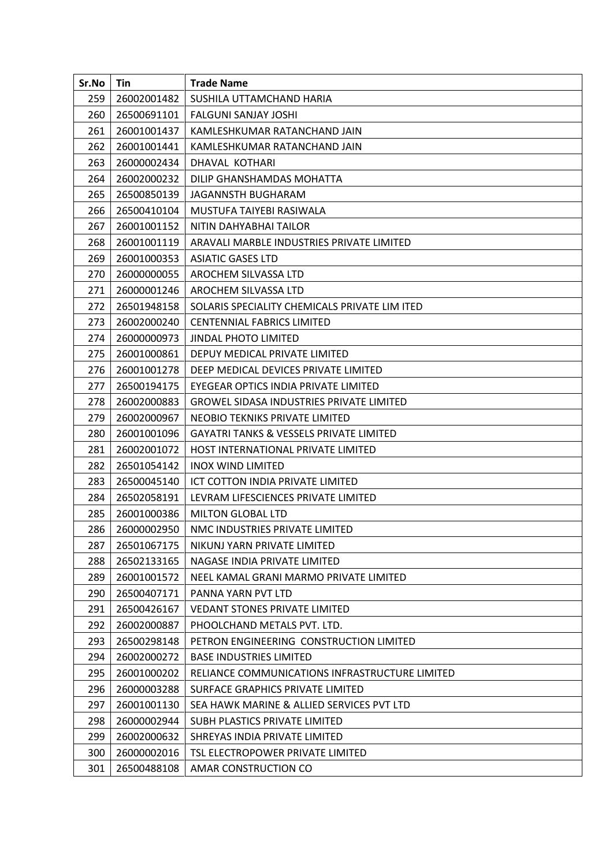| Sr.No | Tin         | <b>Trade Name</b>                                  |
|-------|-------------|----------------------------------------------------|
| 259   | 26002001482 | SUSHILA UTTAMCHAND HARIA                           |
| 260   | 26500691101 | <b>FALGUNI SANJAY JOSHI</b>                        |
| 261   | 26001001437 | KAMLESHKUMAR RATANCHAND JAIN                       |
| 262   | 26001001441 | KAMLESHKUMAR RATANCHAND JAIN                       |
| 263   | 26000002434 | DHAVAL KOTHARI                                     |
| 264   | 26002000232 | DILIP GHANSHAMDAS MOHATTA                          |
| 265   | 26500850139 | JAGANNSTH BUGHARAM                                 |
| 266   | 26500410104 | MUSTUFA TAIYEBI RASIWALA                           |
| 267   | 26001001152 | NITIN DAHYABHAI TAILOR                             |
| 268   | 26001001119 | ARAVALI MARBLE INDUSTRIES PRIVATE LIMITED          |
| 269   | 26001000353 | <b>ASIATIC GASES LTD</b>                           |
| 270   | 26000000055 | AROCHEM SILVASSA LTD                               |
| 271   | 26000001246 | AROCHEM SILVASSA LTD                               |
| 272   | 26501948158 | SOLARIS SPECIALITY CHEMICALS PRIVATE LIM ITED      |
| 273   | 26002000240 | <b>CENTENNIAL FABRICS LIMITED</b>                  |
| 274   | 26000000973 | <b>JINDAL PHOTO LIMITED</b>                        |
| 275   | 26001000861 | DEPUY MEDICAL PRIVATE LIMITED                      |
| 276   | 26001001278 | DEEP MEDICAL DEVICES PRIVATE LIMITED               |
| 277   | 26500194175 | EYEGEAR OPTICS INDIA PRIVATE LIMITED               |
| 278   | 26002000883 | <b>GROWEL SIDASA INDUSTRIES PRIVATE LIMITED</b>    |
| 279   | 26002000967 | NEOBIO TEKNIKS PRIVATE LIMITED                     |
| 280   | 26001001096 | <b>GAYATRI TANKS &amp; VESSELS PRIVATE LIMITED</b> |
| 281   | 26002001072 | HOST INTERNATIONAL PRIVATE LIMITED                 |
| 282   | 26501054142 | <b>INOX WIND LIMITED</b>                           |
| 283   | 26500045140 | ICT COTTON INDIA PRIVATE LIMITED                   |
| 284   | 26502058191 | LEVRAM LIFESCIENCES PRIVATE LIMITED                |
| 285   | 26001000386 | <b>MILTON GLOBAL LTD</b>                           |
| 286   | 26000002950 | NMC INDUSTRIES PRIVATE LIMITED                     |
| 287   | 26501067175 | NIKUNJ YARN PRIVATE LIMITED                        |
| 288   | 26502133165 | NAGASE INDIA PRIVATE LIMITED                       |
| 289   | 26001001572 | NEEL KAMAL GRANI MARMO PRIVATE LIMITED             |
| 290   | 26500407171 | PANNA YARN PVT LTD                                 |
| 291   | 26500426167 | <b>VEDANT STONES PRIVATE LIMITED</b>               |
| 292   | 26002000887 | PHOOLCHAND METALS PVT. LTD.                        |
| 293   | 26500298148 | PETRON ENGINEERING CONSTRUCTION LIMITED            |
| 294   | 26002000272 | <b>BASE INDUSTRIES LIMITED</b>                     |
| 295   | 26001000202 | RELIANCE COMMUNICATIONS INFRASTRUCTURE LIMITED     |
| 296   | 26000003288 | SURFACE GRAPHICS PRIVATE LIMITED                   |
| 297   | 26001001130 | SEA HAWK MARINE & ALLIED SERVICES PVT LTD          |
| 298   | 26000002944 | SUBH PLASTICS PRIVATE LIMITED                      |
| 299   | 26002000632 | SHREYAS INDIA PRIVATE LIMITED                      |
| 300   | 26000002016 | TSL ELECTROPOWER PRIVATE LIMITED                   |
| 301   | 26500488108 | AMAR CONSTRUCTION CO                               |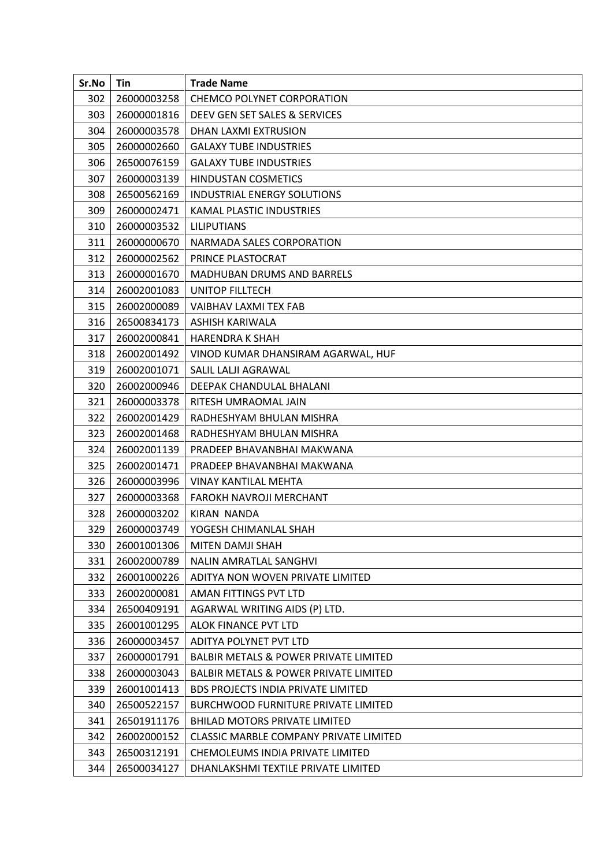| Sr.No | Tin         | <b>Trade Name</b>                                |
|-------|-------------|--------------------------------------------------|
| 302   | 26000003258 | <b>CHEMCO POLYNET CORPORATION</b>                |
| 303   | 26000001816 | DEEV GEN SET SALES & SERVICES                    |
| 304   | 26000003578 | DHAN LAXMI EXTRUSION                             |
| 305   | 26000002660 | <b>GALAXY TUBE INDUSTRIES</b>                    |
| 306   | 26500076159 | <b>GALAXY TUBE INDUSTRIES</b>                    |
| 307   | 26000003139 | <b>HINDUSTAN COSMETICS</b>                       |
| 308   | 26500562169 | <b>INDUSTRIAL ENERGY SOLUTIONS</b>               |
| 309   | 26000002471 | KAMAL PLASTIC INDUSTRIES                         |
| 310   | 26000003532 | <b>LILIPUTIANS</b>                               |
| 311   | 26000000670 | NARMADA SALES CORPORATION                        |
| 312   | 26000002562 | PRINCE PLASTOCRAT                                |
| 313   | 26000001670 | <b>MADHUBAN DRUMS AND BARRELS</b>                |
| 314   | 26002001083 | UNITOP FILLTECH                                  |
| 315   | 26002000089 | VAIBHAV LAXMI TEX FAB                            |
| 316   | 26500834173 | ASHISH KARIWALA                                  |
| 317   | 26002000841 | <b>HARENDRA K SHAH</b>                           |
| 318   | 26002001492 | VINOD KUMAR DHANSIRAM AGARWAL, HUF               |
| 319   | 26002001071 | SALIL LALJI AGRAWAL                              |
| 320   | 26002000946 | DEEPAK CHANDULAL BHALANI                         |
| 321   | 26000003378 | RITESH UMRAOMAL JAIN                             |
| 322   | 26002001429 | RADHESHYAM BHULAN MISHRA                         |
| 323   | 26002001468 | RADHESHYAM BHULAN MISHRA                         |
| 324   | 26002001139 | PRADEEP BHAVANBHAI MAKWANA                       |
| 325   | 26002001471 | PRADEEP BHAVANBHAI MAKWANA                       |
| 326   | 26000003996 | <b>VINAY KANTILAL MEHTA</b>                      |
| 327   | 26000003368 | FAROKH NAVROJI MERCHANT                          |
| 328   | 26000003202 | <b>KIRAN NANDA</b>                               |
| 329   | 26000003749 | YOGESH CHIMANLAL SHAH                            |
| 330   | 26001001306 | <b>MITEN DAMJI SHAH</b>                          |
| 331   | 26002000789 | NALIN AMRATLAL SANGHVI                           |
| 332   | 26001000226 | ADITYA NON WOVEN PRIVATE LIMITED                 |
| 333   | 26002000081 | AMAN FITTINGS PVT LTD                            |
| 334   | 26500409191 | AGARWAL WRITING AIDS (P) LTD.                    |
| 335   | 26001001295 | ALOK FINANCE PVT LTD                             |
| 336   | 26000003457 | ADITYA POLYNET PVT LTD                           |
| 337   | 26000001791 | <b>BALBIR METALS &amp; POWER PRIVATE LIMITED</b> |
| 338   | 26000003043 | <b>BALBIR METALS &amp; POWER PRIVATE LIMITED</b> |
| 339   | 26001001413 | <b>BDS PROJECTS INDIA PRIVATE LIMITED</b>        |
| 340   | 26500522157 | <b>BURCHWOOD FURNITURE PRIVATE LIMITED</b>       |
| 341   | 26501911176 | <b>BHILAD MOTORS PRIVATE LIMITED</b>             |
| 342   | 26002000152 | <b>CLASSIC MARBLE COMPANY PRIVATE LIMITED</b>    |
| 343   | 26500312191 | CHEMOLEUMS INDIA PRIVATE LIMITED                 |
| 344   | 26500034127 | DHANLAKSHMI TEXTILE PRIVATE LIMITED              |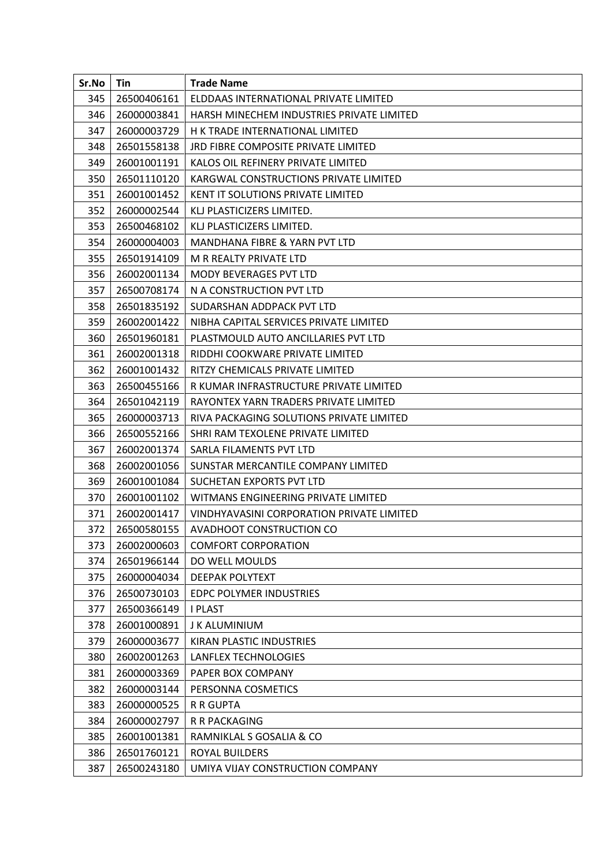| Sr.No | Tin         | <b>Trade Name</b>                         |
|-------|-------------|-------------------------------------------|
| 345   | 26500406161 | ELDDAAS INTERNATIONAL PRIVATE LIMITED     |
| 346   | 26000003841 | HARSH MINECHEM INDUSTRIES PRIVATE LIMITED |
| 347   | 26000003729 | H K TRADE INTERNATIONAL LIMITED           |
| 348   | 26501558138 | JRD FIBRE COMPOSITE PRIVATE LIMITED       |
| 349   | 26001001191 | KALOS OIL REFINERY PRIVATE LIMITED        |
| 350   | 26501110120 | KARGWAL CONSTRUCTIONS PRIVATE LIMITED     |
| 351   | 26001001452 | <b>KENT IT SOLUTIONS PRIVATE LIMITED</b>  |
| 352   | 26000002544 | KLJ PLASTICIZERS LIMITED.                 |
| 353   | 26500468102 | KLJ PLASTICIZERS LIMITED.                 |
| 354   | 26000004003 | MANDHANA FIBRE & YARN PVT LTD             |
| 355   | 26501914109 | M R REALTY PRIVATE LTD                    |
| 356   | 26002001134 | <b>MODY BEVERAGES PVT LTD</b>             |
| 357   | 26500708174 | N A CONSTRUCTION PVT LTD                  |
| 358   | 26501835192 | SUDARSHAN ADDPACK PVT LTD                 |
| 359   | 26002001422 | NIBHA CAPITAL SERVICES PRIVATE LIMITED    |
| 360   | 26501960181 | PLASTMOULD AUTO ANCILLARIES PVT LTD       |
| 361   | 26002001318 | RIDDHI COOKWARE PRIVATE LIMITED           |
| 362   | 26001001432 | RITZY CHEMICALS PRIVATE LIMITED           |
| 363   | 26500455166 | R KUMAR INFRASTRUCTURE PRIVATE LIMITED    |
| 364   | 26501042119 | RAYONTEX YARN TRADERS PRIVATE LIMITED     |
| 365   | 26000003713 | RIVA PACKAGING SOLUTIONS PRIVATE LIMITED  |
| 366   | 26500552166 | SHRI RAM TEXOLENE PRIVATE LIMITED         |
| 367   | 26002001374 | SARLA FILAMENTS PVT LTD                   |
| 368   | 26002001056 | SUNSTAR MERCANTILE COMPANY LIMITED        |
| 369   | 26001001084 | SUCHETAN EXPORTS PVT LTD                  |
| 370   | 26001001102 | WITMANS ENGINEERING PRIVATE LIMITED       |
| 371   | 26002001417 | VINDHYAVASINI CORPORATION PRIVATE LIMITED |
| 372   | 26500580155 | AVADHOOT CONSTRUCTION CO                  |
| 373   | 26002000603 | <b>COMFORT CORPORATION</b>                |
| 374   | 26501966144 | DO WELL MOULDS                            |
| 375   | 26000004034 | <b>DEEPAK POLYTEXT</b>                    |
| 376   | 26500730103 | <b>EDPC POLYMER INDUSTRIES</b>            |
| 377   | 26500366149 | <b>I PLAST</b>                            |
| 378   | 26001000891 | J K ALUMINIUM                             |
| 379   | 26000003677 | KIRAN PLASTIC INDUSTRIES                  |
| 380   | 26002001263 | LANFLEX TECHNOLOGIES                      |
| 381   | 26000003369 | PAPER BOX COMPANY                         |
| 382   | 26000003144 | PERSONNA COSMETICS                        |
| 383   | 26000000525 | R R GUPTA                                 |
| 384   | 26000002797 | R R PACKAGING                             |
| 385   | 26001001381 | RAMNIKLAL S GOSALIA & CO                  |
| 386   | 26501760121 | <b>ROYAL BUILDERS</b>                     |
| 387   | 26500243180 | UMIYA VIJAY CONSTRUCTION COMPANY          |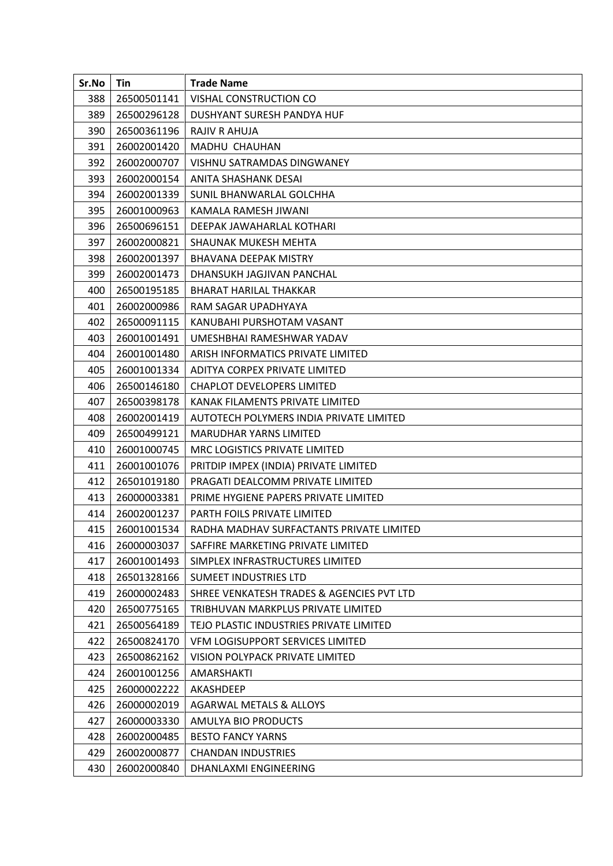| Sr.No | Tin         | <b>Trade Name</b>                         |
|-------|-------------|-------------------------------------------|
| 388   | 26500501141 | VISHAL CONSTRUCTION CO                    |
| 389   | 26500296128 | DUSHYANT SURESH PANDYA HUF                |
| 390   | 26500361196 | RAJIV R AHUJA                             |
| 391   | 26002001420 | MADHU CHAUHAN                             |
| 392   | 26002000707 | VISHNU SATRAMDAS DINGWANEY                |
| 393   | 26002000154 | ANITA SHASHANK DESAI                      |
| 394   | 26002001339 | SUNIL BHANWARLAL GOLCHHA                  |
| 395   | 26001000963 | KAMALA RAMESH JIWANI                      |
| 396   | 26500696151 | DEEPAK JAWAHARLAL KOTHARI                 |
| 397   | 26002000821 | SHAUNAK MUKESH MEHTA                      |
| 398   | 26002001397 | <b>BHAVANA DEEPAK MISTRY</b>              |
| 399   | 26002001473 | DHANSUKH JAGJIVAN PANCHAL                 |
| 400   | 26500195185 | <b>BHARAT HARILAL THAKKAR</b>             |
| 401   | 26002000986 | RAM SAGAR UPADHYAYA                       |
| 402   | 26500091115 | KANUBAHI PURSHOTAM VASANT                 |
| 403   | 26001001491 | UMESHBHAI RAMESHWAR YADAV                 |
| 404   | 26001001480 | ARISH INFORMATICS PRIVATE LIMITED         |
| 405   | 26001001334 | ADITYA CORPEX PRIVATE LIMITED             |
| 406   | 26500146180 | <b>CHAPLOT DEVELOPERS LIMITED</b>         |
| 407   | 26500398178 | KANAK FILAMENTS PRIVATE LIMITED           |
| 408   | 26002001419 | AUTOTECH POLYMERS INDIA PRIVATE LIMITED   |
| 409   | 26500499121 | <b>MARUDHAR YARNS LIMITED</b>             |
| 410   | 26001000745 | MRC LOGISTICS PRIVATE LIMITED             |
| 411   | 26001001076 | PRITDIP IMPEX (INDIA) PRIVATE LIMITED     |
| 412   | 26501019180 | PRAGATI DEALCOMM PRIVATE LIMITED          |
| 413   | 26000003381 | PRIME HYGIENE PAPERS PRIVATE LIMITED      |
| 414   | 26002001237 | <b>PARTH FOILS PRIVATE LIMITED</b>        |
| 415   | 26001001534 | RADHA MADHAV SURFACTANTS PRIVATE LIMITED  |
| 416   | 26000003037 | SAFFIRE MARKETING PRIVATE LIMITED         |
| 417   | 26001001493 | SIMPLEX INFRASTRUCTURES LIMITED           |
| 418   | 26501328166 | <b>SUMEET INDUSTRIES LTD</b>              |
| 419   | 26000002483 | SHREE VENKATESH TRADES & AGENCIES PVT LTD |
| 420   | 26500775165 | TRIBHUVAN MARKPLUS PRIVATE LIMITED        |
| 421   | 26500564189 | TEJO PLASTIC INDUSTRIES PRIVATE LIMITED   |
| 422   | 26500824170 | VFM LOGISUPPORT SERVICES LIMITED          |
| 423   | 26500862162 | VISION POLYPACK PRIVATE LIMITED           |
| 424   | 26001001256 | AMARSHAKTI                                |
| 425   | 26000002222 | AKASHDEEP                                 |
| 426   | 26000002019 | <b>AGARWAL METALS &amp; ALLOYS</b>        |
| 427   | 26000003330 | AMULYA BIO PRODUCTS                       |
| 428   | 26002000485 | <b>BESTO FANCY YARNS</b>                  |
| 429   | 26002000877 | <b>CHANDAN INDUSTRIES</b>                 |
| 430   | 26002000840 | DHANLAXMI ENGINEERING                     |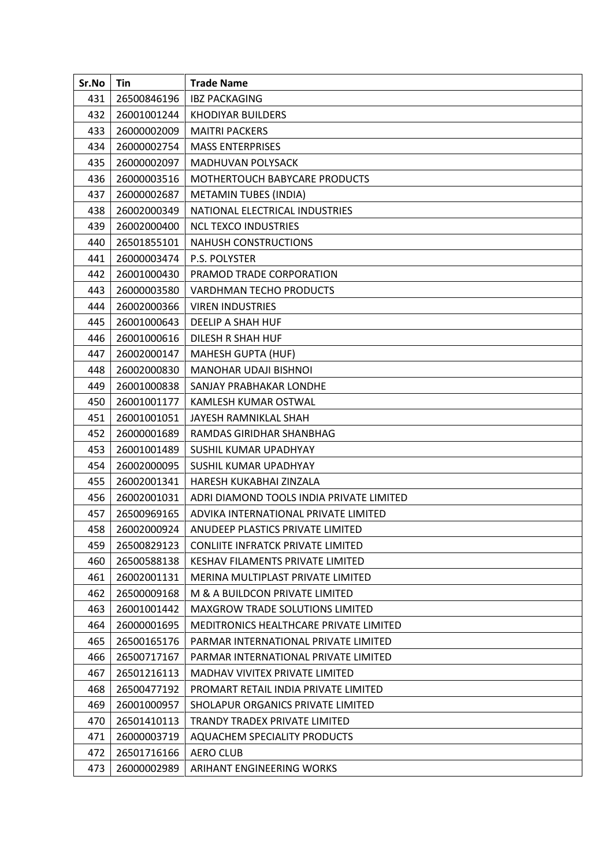| Sr.No | Tin         | <b>Trade Name</b>                        |
|-------|-------------|------------------------------------------|
| 431   | 26500846196 | <b>IBZ PACKAGING</b>                     |
| 432   | 26001001244 | <b>KHODIYAR BUILDERS</b>                 |
| 433   | 26000002009 | <b>MAITRI PACKERS</b>                    |
| 434   | 26000002754 | <b>MASS ENTERPRISES</b>                  |
| 435   | 26000002097 | <b>MADHUVAN POLYSACK</b>                 |
| 436   | 26000003516 | MOTHERTOUCH BABYCARE PRODUCTS            |
| 437   | 26000002687 | <b>METAMIN TUBES (INDIA)</b>             |
| 438   | 26002000349 | NATIONAL ELECTRICAL INDUSTRIES           |
| 439   | 26002000400 | <b>NCL TEXCO INDUSTRIES</b>              |
| 440   | 26501855101 | <b>NAHUSH CONSTRUCTIONS</b>              |
| 441   | 26000003474 | P.S. POLYSTER                            |
| 442   | 26001000430 | PRAMOD TRADE CORPORATION                 |
| 443   | 26000003580 | VARDHMAN TECHO PRODUCTS                  |
| 444   | 26002000366 | <b>VIREN INDUSTRIES</b>                  |
| 445   | 26001000643 | DEELIP A SHAH HUF                        |
| 446   | 26001000616 | DILESH R SHAH HUF                        |
| 447   | 26002000147 | <b>MAHESH GUPTA (HUF)</b>                |
| 448   | 26002000830 | MANOHAR UDAJI BISHNOI                    |
| 449   | 26001000838 | SANJAY PRABHAKAR LONDHE                  |
| 450   | 26001001177 | KAMLESH KUMAR OSTWAL                     |
| 451   | 26001001051 | JAYESH RAMNIKLAL SHAH                    |
| 452   | 26000001689 | RAMDAS GIRIDHAR SHANBHAG                 |
| 453   | 26001001489 | SUSHIL KUMAR UPADHYAY                    |
| 454   | 26002000095 | SUSHIL KUMAR UPADHYAY                    |
| 455   | 26002001341 | HARESH KUKABHAI ZINZALA                  |
| 456   | 26002001031 | ADRI DIAMOND TOOLS INDIA PRIVATE LIMITED |
| 457   | 26500969165 | ADVIKA INTERNATIONAL PRIVATE LIMITED     |
| 458   | 26002000924 | ANUDEEP PLASTICS PRIVATE LIMITED         |
| 459   | 26500829123 | <b>CONLIITE INFRATCK PRIVATE LIMITED</b> |
| 460   | 26500588138 | <b>KESHAV FILAMENTS PRIVATE LIMITED</b>  |
| 461   | 26002001131 | MERINA MULTIPLAST PRIVATE LIMITED        |
| 462   | 26500009168 | M & A BUILDCON PRIVATE LIMITED           |
| 463   | 26001001442 | MAXGROW TRADE SOLUTIONS LIMITED          |
| 464   | 26000001695 | MEDITRONICS HEALTHCARE PRIVATE LIMITED   |
| 465   | 26500165176 | PARMAR INTERNATIONAL PRIVATE LIMITED     |
| 466   | 26500717167 | PARMAR INTERNATIONAL PRIVATE LIMITED     |
| 467   | 26501216113 | <b>MADHAV VIVITEX PRIVATE LIMITED</b>    |
| 468   | 26500477192 | PROMART RETAIL INDIA PRIVATE LIMITED     |
| 469   | 26001000957 | SHOLAPUR ORGANICS PRIVATE LIMITED        |
| 470   | 26501410113 | TRANDY TRADEX PRIVATE LIMITED            |
| 471   | 26000003719 | AQUACHEM SPECIALITY PRODUCTS             |
| 472   | 26501716166 | <b>AERO CLUB</b>                         |
| 473   | 26000002989 | ARIHANT ENGINEERING WORKS                |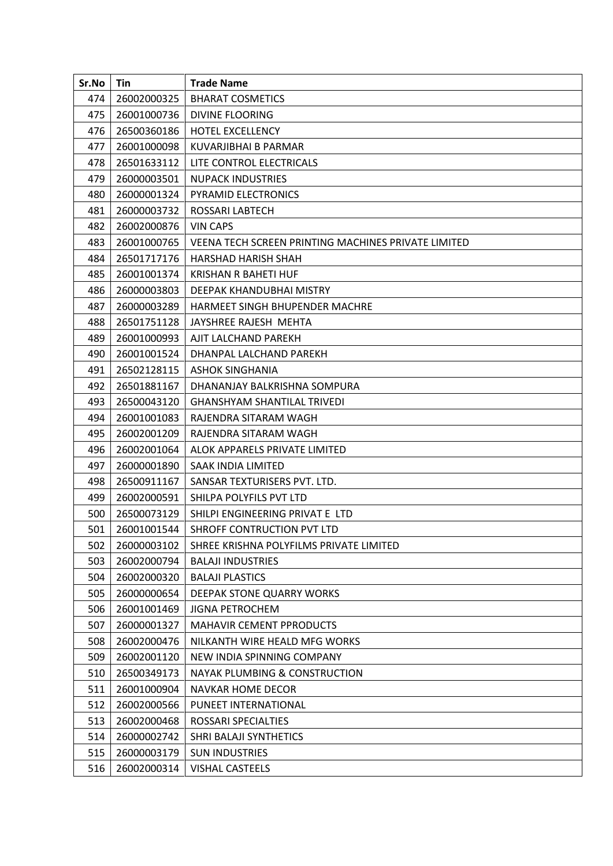| Sr.No | Tin         | <b>Trade Name</b>                                   |
|-------|-------------|-----------------------------------------------------|
| 474   | 26002000325 | <b>BHARAT COSMETICS</b>                             |
| 475   | 26001000736 | <b>DIVINE FLOORING</b>                              |
| 476   | 26500360186 | <b>HOTEL EXCELLENCY</b>                             |
| 477   | 26001000098 | KUVARJIBHAI B PARMAR                                |
| 478   | 26501633112 | LITE CONTROL ELECTRICALS                            |
| 479   | 26000003501 | <b>NUPACK INDUSTRIES</b>                            |
| 480   | 26000001324 | PYRAMID ELECTRONICS                                 |
| 481   | 26000003732 | ROSSARI LABTECH                                     |
| 482   | 26002000876 | <b>VIN CAPS</b>                                     |
| 483   | 26001000765 | VEENA TECH SCREEN PRINTING MACHINES PRIVATE LIMITED |
| 484   | 26501717176 | HARSHAD HARISH SHAH                                 |
| 485   | 26001001374 | KRISHAN R BAHETI HUF                                |
| 486   | 26000003803 | DEEPAK KHANDUBHAI MISTRY                            |
| 487   | 26000003289 | HARMEET SINGH BHUPENDER MACHRE                      |
| 488   | 26501751128 | JAYSHREE RAJESH MEHTA                               |
| 489   | 26001000993 | AJIT LALCHAND PAREKH                                |
| 490   | 26001001524 | DHANPAL LALCHAND PAREKH                             |
| 491   | 26502128115 | <b>ASHOK SINGHANIA</b>                              |
| 492   | 26501881167 | DHANANJAY BALKRISHNA SOMPURA                        |
| 493   | 26500043120 | <b>GHANSHYAM SHANTILAL TRIVEDI</b>                  |
| 494   | 26001001083 | RAJENDRA SITARAM WAGH                               |
| 495   | 26002001209 | RAJENDRA SITARAM WAGH                               |
| 496   | 26002001064 | ALOK APPARELS PRIVATE LIMITED                       |
| 497   | 26000001890 | SAAK INDIA LIMITED                                  |
| 498   | 26500911167 | SANSAR TEXTURISERS PVT. LTD.                        |
| 499   | 26002000591 | SHILPA POLYFILS PVT LTD                             |
| 500   | 26500073129 | SHILPI ENGINEERING PRIVAT E LTD                     |
| 501   | 26001001544 | SHROFF CONTRUCTION PVT LTD                          |
| 502   | 26000003102 | SHREE KRISHNA POLYFILMS PRIVATE LIMITED             |
| 503   | 26002000794 | <b>BALAJI INDUSTRIES</b>                            |
| 504   | 26002000320 | <b>BALAJI PLASTICS</b>                              |
| 505   | 26000000654 | DEEPAK STONE QUARRY WORKS                           |
| 506   | 26001001469 | <b>JIGNA PETROCHEM</b>                              |
| 507   | 26000001327 | MAHAVIR CEMENT PPRODUCTS                            |
| 508   | 26002000476 | NILKANTH WIRE HEALD MFG WORKS                       |
| 509   | 26002001120 | NEW INDIA SPINNING COMPANY                          |
| 510   | 26500349173 | <b>NAYAK PLUMBING &amp; CONSTRUCTION</b>            |
| 511   | 26001000904 | <b>NAVKAR HOME DECOR</b>                            |
| 512   | 26002000566 | PUNEET INTERNATIONAL                                |
| 513   | 26002000468 | ROSSARI SPECIALTIES                                 |
| 514   | 26000002742 | SHRI BALAJI SYNTHETICS                              |
| 515   | 26000003179 | <b>SUN INDUSTRIES</b>                               |
| 516   | 26002000314 | VISHAL CASTEELS                                     |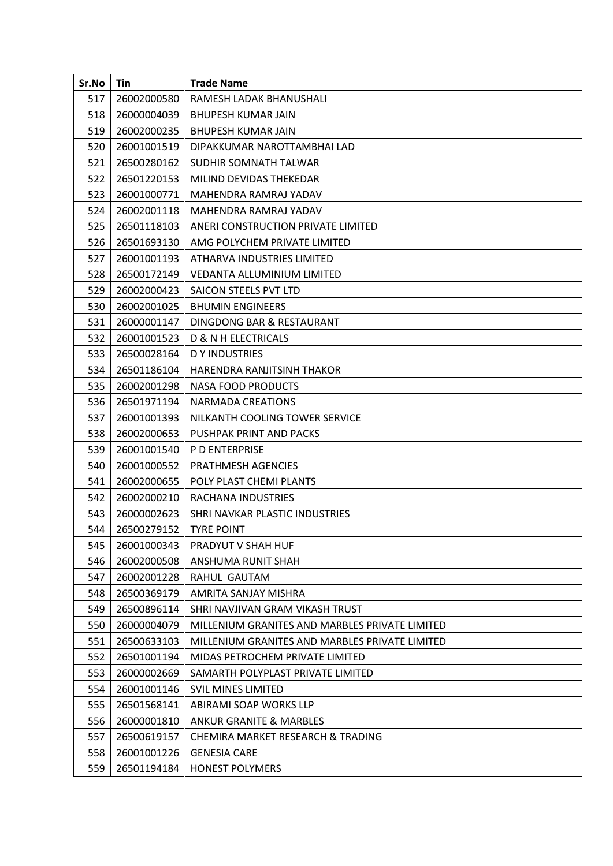| Sr.No | Tin         | <b>Trade Name</b>                              |
|-------|-------------|------------------------------------------------|
| 517   | 26002000580 | RAMESH LADAK BHANUSHALI                        |
| 518   | 26000004039 | <b>BHUPESH KUMAR JAIN</b>                      |
| 519   | 26002000235 | <b>BHUPESH KUMAR JAIN</b>                      |
| 520   | 26001001519 | DIPAKKUMAR NAROTTAMBHAI LAD                    |
| 521   | 26500280162 | SUDHIR SOMNATH TALWAR                          |
| 522   | 26501220153 | MILIND DEVIDAS THEKEDAR                        |
| 523   | 26001000771 | MAHENDRA RAMRAJ YADAV                          |
| 524   | 26002001118 | MAHENDRA RAMRAJ YADAV                          |
| 525   | 26501118103 | ANERI CONSTRUCTION PRIVATE LIMITED             |
| 526   | 26501693130 | AMG POLYCHEM PRIVATE LIMITED                   |
| 527   | 26001001193 | ATHARVA INDUSTRIES LIMITED                     |
| 528   | 26500172149 | VEDANTA ALLUMINIUM LIMITED                     |
| 529   | 26002000423 | SAICON STEELS PVT LTD                          |
| 530   | 26002001025 | <b>BHUMIN ENGINEERS</b>                        |
| 531   | 26000001147 | DINGDONG BAR & RESTAURANT                      |
| 532   | 26001001523 | <b>D &amp; N H ELECTRICALS</b>                 |
| 533   | 26500028164 | <b>DY INDUSTRIES</b>                           |
| 534   | 26501186104 | HARENDRA RANJITSINH THAKOR                     |
| 535   | 26002001298 | <b>NASA FOOD PRODUCTS</b>                      |
| 536   | 26501971194 | NARMADA CREATIONS                              |
| 537   | 26001001393 | NILKANTH COOLING TOWER SERVICE                 |
| 538   | 26002000653 | PUSHPAK PRINT AND PACKS                        |
| 539   | 26001001540 | <b>P D ENTERPRISE</b>                          |
| 540   | 26001000552 | PRATHMESH AGENCIES                             |
| 541   | 26002000655 | POLY PLAST CHEMI PLANTS                        |
| 542   | 26002000210 | RACHANA INDUSTRIES                             |
| 543   | 26000002623 | SHRI NAVKAR PLASTIC INDUSTRIES                 |
| 544   | 26500279152 | <b>TYRE POINT</b>                              |
| 545   | 26001000343 | PRADYUT V SHAH HUF                             |
| 546   | 26002000508 | ANSHUMA RUNIT SHAH                             |
| 547   | 26002001228 | RAHUL GAUTAM                                   |
| 548   | 26500369179 | AMRITA SANJAY MISHRA                           |
| 549   | 26500896114 | SHRI NAVJIVAN GRAM VIKASH TRUST                |
| 550   | 26000004079 | MILLENIUM GRANITES AND MARBLES PRIVATE LIMITED |
| 551   | 26500633103 | MILLENIUM GRANITES AND MARBLES PRIVATE LIMITED |
| 552   | 26501001194 | MIDAS PETROCHEM PRIVATE LIMITED                |
| 553   | 26000002669 | SAMARTH POLYPLAST PRIVATE LIMITED              |
| 554   | 26001001146 | <b>SVIL MINES LIMITED</b>                      |
| 555   | 26501568141 | ABIRAMI SOAP WORKS LLP                         |
| 556   | 26000001810 | ANKUR GRANITE & MARBLES                        |
| 557   | 26500619157 | CHEMIRA MARKET RESEARCH & TRADING              |
| 558   | 26001001226 | <b>GENESIA CARE</b>                            |
| 559   | 26501194184 | <b>HONEST POLYMERS</b>                         |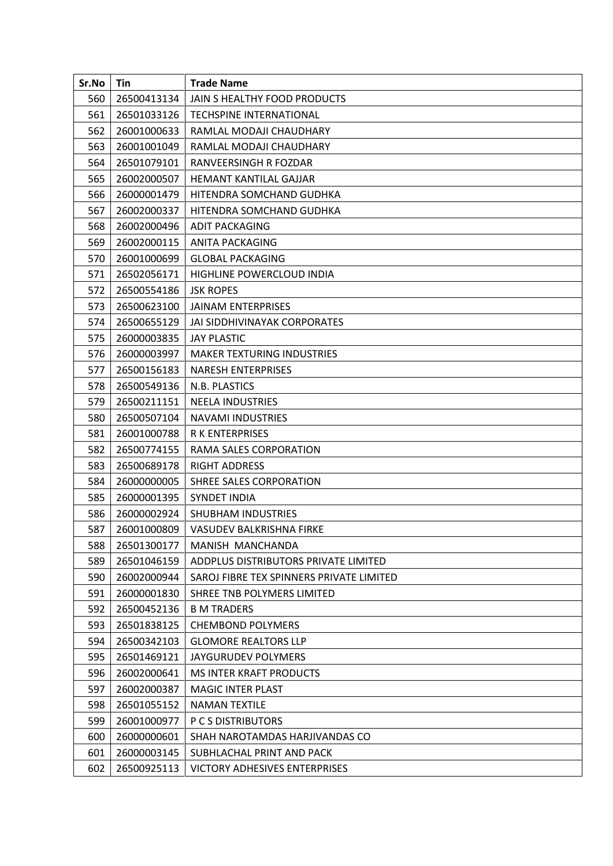| Sr.No | Tin         | <b>Trade Name</b>                        |
|-------|-------------|------------------------------------------|
| 560   | 26500413134 | JAIN S HEALTHY FOOD PRODUCTS             |
| 561   | 26501033126 | TECHSPINE INTERNATIONAL                  |
| 562   | 26001000633 | RAMLAL MODAJI CHAUDHARY                  |
| 563   | 26001001049 | RAMLAL MODAJI CHAUDHARY                  |
| 564   | 26501079101 | RANVEERSINGH R FOZDAR                    |
| 565   | 26002000507 | HEMANT KANTILAL GAJJAR                   |
| 566   | 26000001479 | HITENDRA SOMCHAND GUDHKA                 |
| 567   | 26002000337 | HITENDRA SOMCHAND GUDHKA                 |
| 568   | 26002000496 | <b>ADIT PACKAGING</b>                    |
| 569   | 26002000115 | ANITA PACKAGING                          |
| 570   | 26001000699 | <b>GLOBAL PACKAGING</b>                  |
| 571   | 26502056171 | HIGHLINE POWERCLOUD INDIA                |
| 572   | 26500554186 | <b>JSK ROPES</b>                         |
| 573   | 26500623100 | <b>JAINAM ENTERPRISES</b>                |
| 574   | 26500655129 | JAI SIDDHIVINAYAK CORPORATES             |
| 575   | 26000003835 | <b>JAY PLASTIC</b>                       |
| 576   | 26000003997 | <b>MAKER TEXTURING INDUSTRIES</b>        |
| 577   | 26500156183 | <b>NARESH ENTERPRISES</b>                |
| 578   | 26500549136 | N.B. PLASTICS                            |
| 579   | 26500211151 | <b>NEELA INDUSTRIES</b>                  |
| 580   | 26500507104 | <b>NAVAMI INDUSTRIES</b>                 |
| 581   | 26001000788 | <b>R K ENTERPRISES</b>                   |
| 582   | 26500774155 | RAMA SALES CORPORATION                   |
| 583   | 26500689178 | <b>RIGHT ADDRESS</b>                     |
| 584   | 26000000005 | SHREE SALES CORPORATION                  |
| 585   | 26000001395 | <b>SYNDET INDIA</b>                      |
| 586   | 26000002924 | SHUBHAM INDUSTRIES                       |
| 587   | 26001000809 | <b>VASUDEV BALKRISHNA FIRKE</b>          |
| 588   | 26501300177 | MANISH MANCHANDA                         |
| 589   | 26501046159 | ADDPLUS DISTRIBUTORS PRIVATE LIMITED     |
| 590   | 26002000944 | SAROJ FIBRE TEX SPINNERS PRIVATE LIMITED |
| 591   | 26000001830 | SHREE TNB POLYMERS LIMITED               |
| 592   | 26500452136 | <b>B M TRADERS</b>                       |
| 593   | 26501838125 | <b>CHEMBOND POLYMERS</b>                 |
| 594   | 26500342103 | <b>GLOMORE REALTORS LLP</b>              |
| 595   | 26501469121 | JAYGURUDEV POLYMERS                      |
| 596   | 26002000641 | MS INTER KRAFT PRODUCTS                  |
| 597   | 26002000387 | <b>MAGIC INTER PLAST</b>                 |
| 598   | 26501055152 | <b>NAMAN TEXTILE</b>                     |
| 599   | 26001000977 | P C S DISTRIBUTORS                       |
| 600   | 26000000601 | SHAH NAROTAMDAS HARJIVANDAS CO           |
| 601   | 26000003145 | SUBHLACHAL PRINT AND PACK                |
| 602   | 26500925113 | <b>VICTORY ADHESIVES ENTERPRISES</b>     |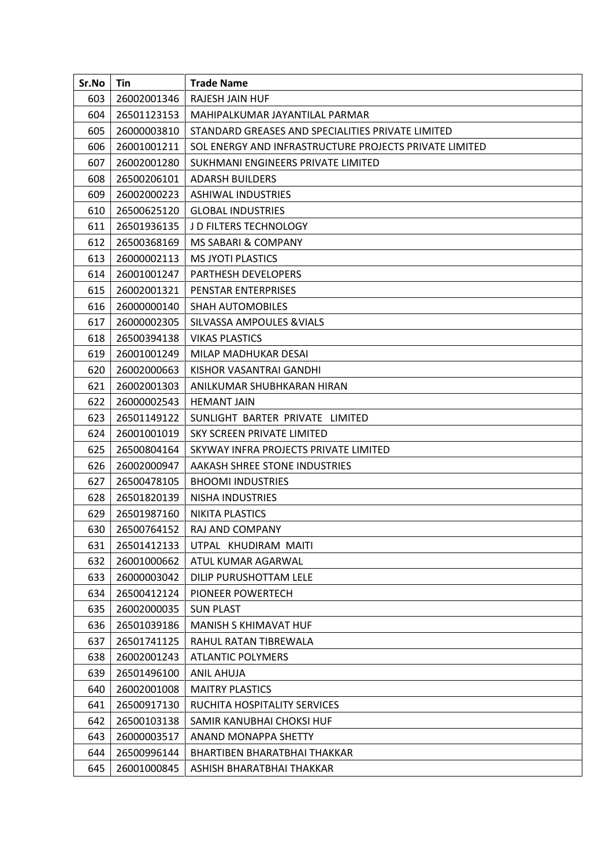| Sr.No | Tin         | <b>Trade Name</b>                                      |
|-------|-------------|--------------------------------------------------------|
| 603   | 26002001346 | RAJESH JAIN HUF                                        |
| 604   | 26501123153 | MAHIPALKUMAR JAYANTILAL PARMAR                         |
| 605   | 26000003810 | STANDARD GREASES AND SPECIALITIES PRIVATE LIMITED      |
| 606   | 26001001211 | SOL ENERGY AND INFRASTRUCTURE PROJECTS PRIVATE LIMITED |
| 607   | 26002001280 | SUKHMANI ENGINEERS PRIVATE LIMITED                     |
| 608   | 26500206101 | <b>ADARSH BUILDERS</b>                                 |
| 609   | 26002000223 | <b>ASHIWAL INDUSTRIES</b>                              |
| 610   | 26500625120 | <b>GLOBAL INDUSTRIES</b>                               |
| 611   | 26501936135 | J D FILTERS TECHNOLOGY                                 |
| 612   | 26500368169 | MS SABARI & COMPANY                                    |
| 613   | 26000002113 | <b>MS JYOTI PLASTICS</b>                               |
| 614   | 26001001247 | <b>PARTHESH DEVELOPERS</b>                             |
| 615   | 26002001321 | <b>PENSTAR ENTERPRISES</b>                             |
| 616   | 26000000140 | <b>SHAH AUTOMOBILES</b>                                |
| 617   | 26000002305 | <b>SILVASSA AMPOULES &amp; VIALS</b>                   |
| 618   | 26500394138 | <b>VIKAS PLASTICS</b>                                  |
| 619   | 26001001249 | MILAP MADHUKAR DESAI                                   |
| 620   | 26002000663 | KISHOR VASANTRAI GANDHI                                |
| 621   | 26002001303 | ANILKUMAR SHUBHKARAN HIRAN                             |
| 622   | 26000002543 | <b>HEMANT JAIN</b>                                     |
| 623   | 26501149122 | SUNLIGHT BARTER PRIVATE LIMITED                        |
| 624   | 26001001019 | SKY SCREEN PRIVATE LIMITED                             |
| 625   | 26500804164 | SKYWAY INFRA PROJECTS PRIVATE LIMITED                  |
| 626   | 26002000947 | AAKASH SHREE STONE INDUSTRIES                          |
| 627   | 26500478105 | <b>BHOOMI INDUSTRIES</b>                               |
| 628   | 26501820139 | NISHA INDUSTRIES                                       |
| 629   | 26501987160 | <b>NIKITA PLASTICS</b>                                 |
| 630   | 26500764152 | RAJ AND COMPANY                                        |
| 631   | 26501412133 | UTPAL KHUDIRAM MAITI                                   |
| 632   | 26001000662 | ATUL KUMAR AGARWAL                                     |
| 633   | 26000003042 | DILIP PURUSHOTTAM LELE                                 |
| 634   | 26500412124 | PIONEER POWERTECH                                      |
| 635   | 26002000035 | <b>SUN PLAST</b>                                       |
| 636   | 26501039186 | MANISH S KHIMAVAT HUF                                  |
| 637   | 26501741125 | RAHUL RATAN TIBREWALA                                  |
| 638   | 26002001243 | <b>ATLANTIC POLYMERS</b>                               |
| 639   | 26501496100 | <b>ANIL AHUJA</b>                                      |
| 640   | 26002001008 | <b>MAITRY PLASTICS</b>                                 |
| 641   | 26500917130 | RUCHITA HOSPITALITY SERVICES                           |
| 642   | 26500103138 | SAMIR KANUBHAI CHOKSI HUF                              |
| 643   | 26000003517 | ANAND MONAPPA SHETTY                                   |
| 644   | 26500996144 | BHARTIBEN BHARATBHAI THAKKAR                           |
| 645   | 26001000845 | ASHISH BHARATBHAI THAKKAR                              |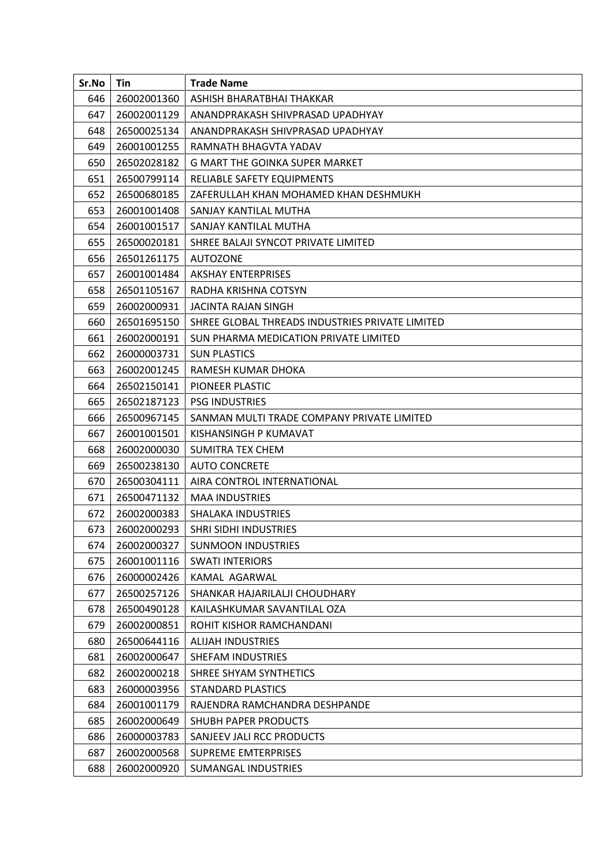| Sr.No | Tin         | <b>Trade Name</b>                               |
|-------|-------------|-------------------------------------------------|
| 646   | 26002001360 | ASHISH BHARATBHAI THAKKAR                       |
| 647   | 26002001129 | ANANDPRAKASH SHIVPRASAD UPADHYAY                |
| 648   | 26500025134 | ANANDPRAKASH SHIVPRASAD UPADHYAY                |
| 649   | 26001001255 | RAMNATH BHAGVTA YADAV                           |
| 650   | 26502028182 | G MART THE GOINKA SUPER MARKET                  |
| 651   | 26500799114 | RELIABLE SAFETY EQUIPMENTS                      |
| 652   | 26500680185 | ZAFERULLAH KHAN MOHAMED KHAN DESHMUKH           |
| 653   | 26001001408 | SANJAY KANTILAL MUTHA                           |
| 654   | 26001001517 | SANJAY KANTILAL MUTHA                           |
| 655   | 26500020181 | SHREE BALAJI SYNCOT PRIVATE LIMITED             |
| 656   | 26501261175 | <b>AUTOZONE</b>                                 |
| 657   | 26001001484 | <b>AKSHAY ENTERPRISES</b>                       |
| 658   | 26501105167 | RADHA KRISHNA COTSYN                            |
| 659   | 26002000931 | <b>JACINTA RAJAN SINGH</b>                      |
| 660   | 26501695150 | SHREE GLOBAL THREADS INDUSTRIES PRIVATE LIMITED |
| 661   | 26002000191 | SUN PHARMA MEDICATION PRIVATE LIMITED           |
| 662   | 26000003731 | <b>SUN PLASTICS</b>                             |
| 663   | 26002001245 | RAMESH KUMAR DHOKA                              |
| 664   | 26502150141 | PIONEER PLASTIC                                 |
| 665   | 26502187123 | <b>PSG INDUSTRIES</b>                           |
| 666   | 26500967145 | SANMAN MULTI TRADE COMPANY PRIVATE LIMITED      |
| 667   | 26001001501 | KISHANSINGH P KUMAVAT                           |
| 668   | 26002000030 | <b>SUMITRA TEX CHEM</b>                         |
| 669   | 26500238130 | <b>AUTO CONCRETE</b>                            |
| 670   | 26500304111 | AIRA CONTROL INTERNATIONAL                      |
| 671   | 26500471132 | <b>MAA INDUSTRIES</b>                           |
| 672   | 26002000383 | <b>SHALAKA INDUSTRIES</b>                       |
| 673   | 26002000293 | <b>SHRI SIDHI INDUSTRIES</b>                    |
| 674   | 26002000327 | <b>SUNMOON INDUSTRIES</b>                       |
| 675   | 26001001116 | <b>SWATI INTERIORS</b>                          |
| 676   | 26000002426 | KAMAL AGARWAL                                   |
| 677   | 26500257126 | SHANKAR HAJARILALJI CHOUDHARY                   |
| 678   | 26500490128 | KAILASHKUMAR SAVANTILAL OZA                     |
| 679   | 26002000851 | ROHIT KISHOR RAMCHANDANI                        |
| 680   | 26500644116 | ALIJAH INDUSTRIES                               |
| 681   | 26002000647 | SHEFAM INDUSTRIES                               |
| 682   | 26002000218 | SHREE SHYAM SYNTHETICS                          |
| 683   | 26000003956 | <b>STANDARD PLASTICS</b>                        |
| 684   | 26001001179 | RAJENDRA RAMCHANDRA DESHPANDE                   |
| 685   | 26002000649 | SHUBH PAPER PRODUCTS                            |
| 686   | 26000003783 | SANJEEV JALI RCC PRODUCTS                       |
| 687   | 26002000568 | <b>SUPREME EMTERPRISES</b>                      |
| 688   | 26002000920 | SUMANGAL INDUSTRIES                             |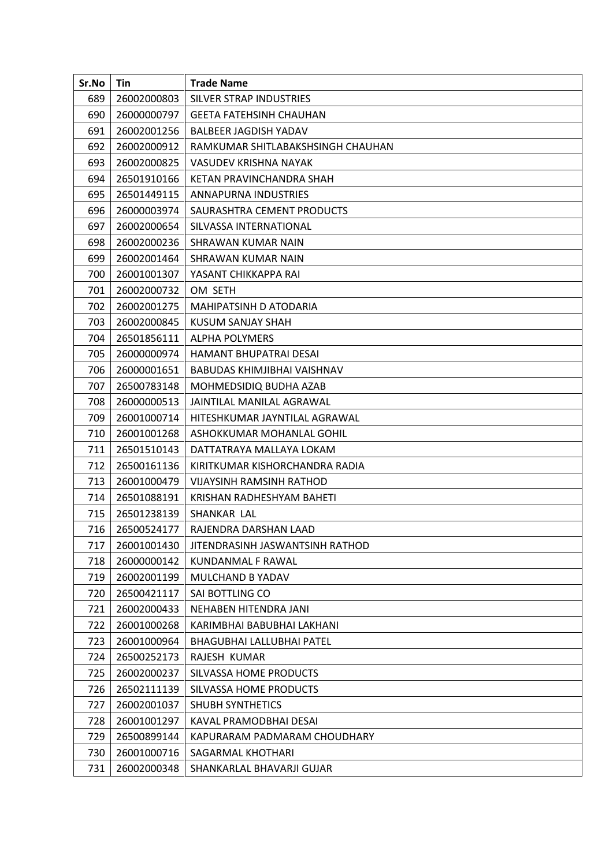| Sr.No | Tin         | <b>Trade Name</b>                 |
|-------|-------------|-----------------------------------|
| 689   | 26002000803 | SILVER STRAP INDUSTRIES           |
| 690   | 26000000797 | <b>GEETA FATEHSINH CHAUHAN</b>    |
| 691   | 26002001256 | <b>BALBEER JAGDISH YADAV</b>      |
| 692   | 26002000912 | RAMKUMAR SHITLABAKSHSINGH CHAUHAN |
| 693   | 26002000825 | VASUDEV KRISHNA NAYAK             |
| 694   | 26501910166 | KETAN PRAVINCHANDRA SHAH          |
| 695   | 26501449115 | ANNAPURNA INDUSTRIES              |
| 696   | 26000003974 | SAURASHTRA CEMENT PRODUCTS        |
| 697   | 26002000654 | SILVASSA INTERNATIONAL            |
| 698   | 26002000236 | SHRAWAN KUMAR NAIN                |
| 699   | 26002001464 | SHRAWAN KUMAR NAIN                |
| 700   | 26001001307 | YASANT CHIKKAPPA RAI              |
| 701   | 26002000732 | OM SETH                           |
| 702   | 26002001275 | MAHIPATSINH D ATODARIA            |
| 703   | 26002000845 | KUSUM SANJAY SHAH                 |
| 704   | 26501856111 | <b>ALPHA POLYMERS</b>             |
| 705   | 26000000974 | HAMANT BHUPATRAI DESAI            |
| 706   | 26000001651 | BABUDAS KHIMJIBHAI VAISHNAV       |
| 707   | 26500783148 | MOHMEDSIDIQ BUDHA AZAB            |
| 708   | 26000000513 | JAINTILAL MANILAL AGRAWAL         |
| 709   | 26001000714 | HITESHKUMAR JAYNTILAL AGRAWAL     |
| 710   | 26001001268 | ASHOKKUMAR MOHANLAL GOHIL         |
| 711   | 26501510143 | DATTATRAYA MALLAYA LOKAM          |
| 712   | 26500161136 | KIRITKUMAR KISHORCHANDRA RADIA    |
| 713   | 26001000479 | <b>VIJAYSINH RAMSINH RATHOD</b>   |
| 714   | 26501088191 | KRISHAN RADHESHYAM BAHETI         |
| 715   | 26501238139 | SHANKAR LAL                       |
| 716   | 26500524177 | RAJENDRA DARSHAN LAAD             |
| 717   | 26001001430 | JITENDRASINH JASWANTSINH RATHOD   |
| 718   | 26000000142 | KUNDANMAL F RAWAL                 |
| 719   | 26002001199 | MULCHAND B YADAV                  |
| 720   | 26500421117 | SAI BOTTLING CO                   |
| 721   | 26002000433 | NEHABEN HITENDRA JANI             |
| 722   | 26001000268 | KARIMBHAI BABUBHAI LAKHANI        |
| 723   | 26001000964 | BHAGUBHAI LALLUBHAI PATEL         |
| 724   | 26500252173 | RAJESH KUMAR                      |
| 725   | 26002000237 | SILVASSA HOME PRODUCTS            |
| 726   | 26502111139 | SILVASSA HOME PRODUCTS            |
| 727   | 26002001037 | <b>SHUBH SYNTHETICS</b>           |
| 728   | 26001001297 | KAVAL PRAMODBHAI DESAI            |
| 729   | 26500899144 | KAPURARAM PADMARAM CHOUDHARY      |
| 730   | 26001000716 | SAGARMAL KHOTHARI                 |
| 731   | 26002000348 | SHANKARLAL BHAVARJI GUJAR         |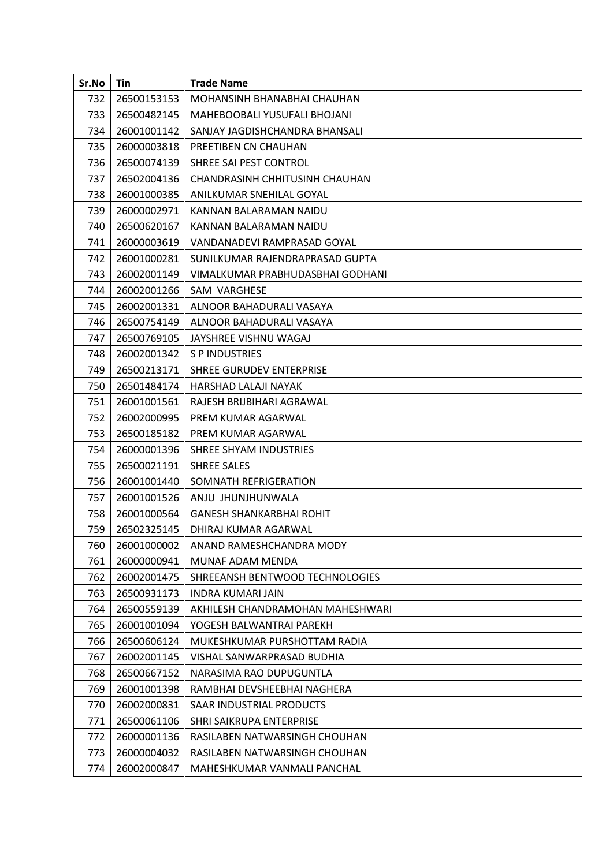| Sr.No | Tin         | <b>Trade Name</b>                |
|-------|-------------|----------------------------------|
| 732   | 26500153153 | MOHANSINH BHANABHAI CHAUHAN      |
| 733   | 26500482145 | MAHEBOOBALI YUSUFALI BHOJANI     |
| 734   | 26001001142 | SANJAY JAGDISHCHANDRA BHANSALI   |
| 735   | 26000003818 | PREETIBEN CN CHAUHAN             |
| 736   | 26500074139 | SHREE SAI PEST CONTROL           |
| 737   | 26502004136 | CHANDRASINH CHHITUSINH CHAUHAN   |
| 738   | 26001000385 | ANILKUMAR SNEHILAL GOYAL         |
| 739   | 26000002971 | KANNAN BALARAMAN NAIDU           |
| 740   | 26500620167 | KANNAN BALARAMAN NAIDU           |
| 741   | 26000003619 | VANDANADEVI RAMPRASAD GOYAL      |
| 742   | 26001000281 | SUNILKUMAR RAJENDRAPRASAD GUPTA  |
| 743   | 26002001149 | VIMALKUMAR PRABHUDASBHAI GODHANI |
| 744   | 26002001266 | SAM VARGHESE                     |
| 745   | 26002001331 | ALNOOR BAHADURALI VASAYA         |
| 746   | 26500754149 | ALNOOR BAHADURALI VASAYA         |
| 747   | 26500769105 | JAYSHREE VISHNU WAGAJ            |
| 748   | 26002001342 | S P INDUSTRIES                   |
| 749   | 26500213171 | SHREE GURUDEV ENTERPRISE         |
| 750   | 26501484174 | HARSHAD LALAJI NAYAK             |
| 751   | 26001001561 | RAJESH BRIJBIHARI AGRAWAL        |
| 752   | 26002000995 | PREM KUMAR AGARWAL               |
| 753   | 26500185182 | PREM KUMAR AGARWAL               |
| 754   | 26000001396 | SHREE SHYAM INDUSTRIES           |
| 755   | 26500021191 | <b>SHREE SALES</b>               |
| 756   | 26001001440 | SOMNATH REFRIGERATION            |
| 757   | 26001001526 | ANJU JHUNJHUNWALA                |
| 758   | 26001000564 | <b>GANESH SHANKARBHAI ROHIT</b>  |
| 759   | 26502325145 | DHIRAJ KUMAR AGARWAL             |
| 760   | 26001000002 | ANAND RAMESHCHANDRA MODY         |
| 761   | 26000000941 | MUNAF ADAM MENDA                 |
| 762   | 26002001475 | SHREEANSH BENTWOOD TECHNOLOGIES  |
| 763   | 26500931173 | <b>INDRA KUMARI JAIN</b>         |
| 764   | 26500559139 | AKHILESH CHANDRAMOHAN MAHESHWARI |
| 765   | 26001001094 | YOGESH BALWANTRAI PAREKH         |
| 766   | 26500606124 | MUKESHKUMAR PURSHOTTAM RADIA     |
| 767   | 26002001145 | VISHAL SANWARPRASAD BUDHIA       |
| 768   | 26500667152 | NARASIMA RAO DUPUGUNTLA          |
| 769   | 26001001398 | RAMBHAI DEVSHEEBHAI NAGHERA      |
| 770   | 26002000831 | SAAR INDUSTRIAL PRODUCTS         |
| 771   | 26500061106 | SHRI SAIKRUPA ENTERPRISE         |
| 772   | 26000001136 | RASILABEN NATWARSINGH CHOUHAN    |
| 773   | 26000004032 | RASILABEN NATWARSINGH CHOUHAN    |
| 774   | 26002000847 | MAHESHKUMAR VANMALI PANCHAL      |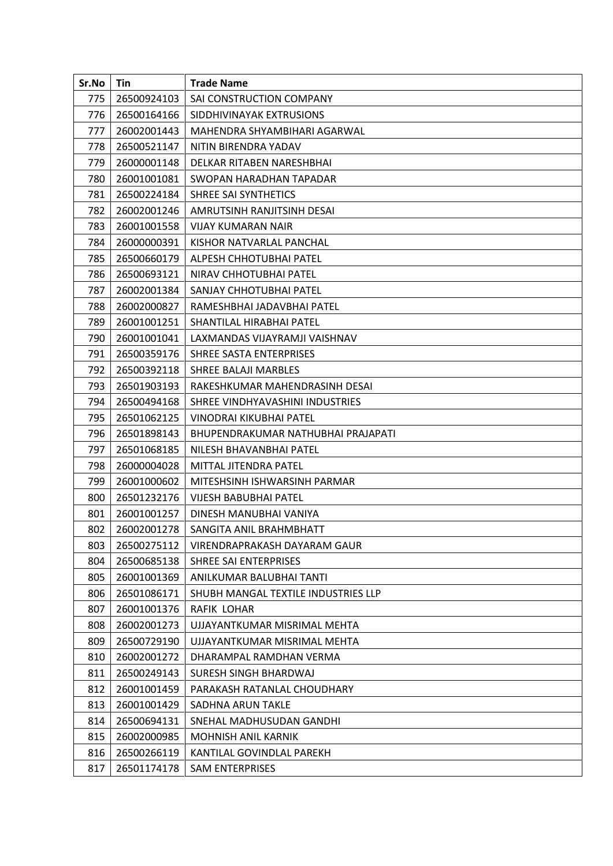| Sr.No | Tin         | <b>Trade Name</b>                   |
|-------|-------------|-------------------------------------|
| 775   | 26500924103 | SAI CONSTRUCTION COMPANY            |
| 776   | 26500164166 | SIDDHIVINAYAK EXTRUSIONS            |
| 777   | 26002001443 | MAHENDRA SHYAMBIHARI AGARWAL        |
| 778   | 26500521147 | NITIN BIRENDRA YADAV                |
| 779   | 26000001148 | DELKAR RITABEN NARESHBHAI           |
| 780   | 26001001081 | SWOPAN HARADHAN TAPADAR             |
| 781   | 26500224184 | SHREE SAI SYNTHETICS                |
| 782   | 26002001246 | AMRUTSINH RANJITSINH DESAI          |
| 783   | 26001001558 | <b>VIJAY KUMARAN NAIR</b>           |
| 784   | 26000000391 | KISHOR NATVARLAL PANCHAL            |
| 785   | 26500660179 | ALPESH CHHOTUBHAI PATEL             |
| 786   | 26500693121 | NIRAV CHHOTUBHAI PATEL              |
| 787   | 26002001384 | SANJAY CHHOTUBHAI PATEL             |
| 788   | 26002000827 | RAMESHBHAI JADAVBHAI PATEL          |
| 789   | 26001001251 | SHANTILAL HIRABHAI PATEL            |
| 790   | 26001001041 | LAXMANDAS VIJAYRAMJI VAISHNAV       |
| 791   | 26500359176 | SHREE SASTA ENTERPRISES             |
| 792   | 26500392118 | SHREE BALAJI MARBLES                |
| 793   | 26501903193 | RAKESHKUMAR MAHENDRASINH DESAI      |
| 794   | 26500494168 | SHREE VINDHYAVASHINI INDUSTRIES     |
| 795   | 26501062125 | VINODRAI KIKUBHAI PATEL             |
| 796   | 26501898143 | BHUPENDRAKUMAR NATHUBHAI PRAJAPATI  |
| 797   | 26501068185 | NILESH BHAVANBHAI PATEL             |
| 798   | 26000004028 | MITTAL JITENDRA PATEL               |
| 799   | 26001000602 | MITESHSINH ISHWARSINH PARMAR        |
| 800   | 26501232176 | <b>VIJESH BABUBHAI PATEL</b>        |
| 801   | 26001001257 | DINESH MANUBHAI VANIYA              |
| 802   | 26002001278 | SANGITA ANIL BRAHMBHATT             |
| 803   | 26500275112 | VIRENDRAPRAKASH DAYARAM GAUR        |
| 804   | 26500685138 | SHREE SAI ENTERPRISES               |
| 805   | 26001001369 | ANILKUMAR BALUBHAI TANTI            |
| 806   | 26501086171 | SHUBH MANGAL TEXTILE INDUSTRIES LLP |
| 807   | 26001001376 | RAFIK LOHAR                         |
| 808   | 26002001273 | UJJAYANTKUMAR MISRIMAL MEHTA        |
| 809   | 26500729190 | UJJAYANTKUMAR MISRIMAL MEHTA        |
| 810   | 26002001272 | DHARAMPAL RAMDHAN VERMA             |
| 811   | 26500249143 | SURESH SINGH BHARDWAJ               |
| 812   | 26001001459 | PARAKASH RATANLAL CHOUDHARY         |
| 813   | 26001001429 | SADHNA ARUN TAKLE                   |
| 814   | 26500694131 | SNEHAL MADHUSUDAN GANDHI            |
| 815   | 26002000985 | <b>MOHNISH ANIL KARNIK</b>          |
| 816   | 26500266119 | KANTILAL GOVINDLAL PAREKH           |
| 817   | 26501174178 | <b>SAM ENTERPRISES</b>              |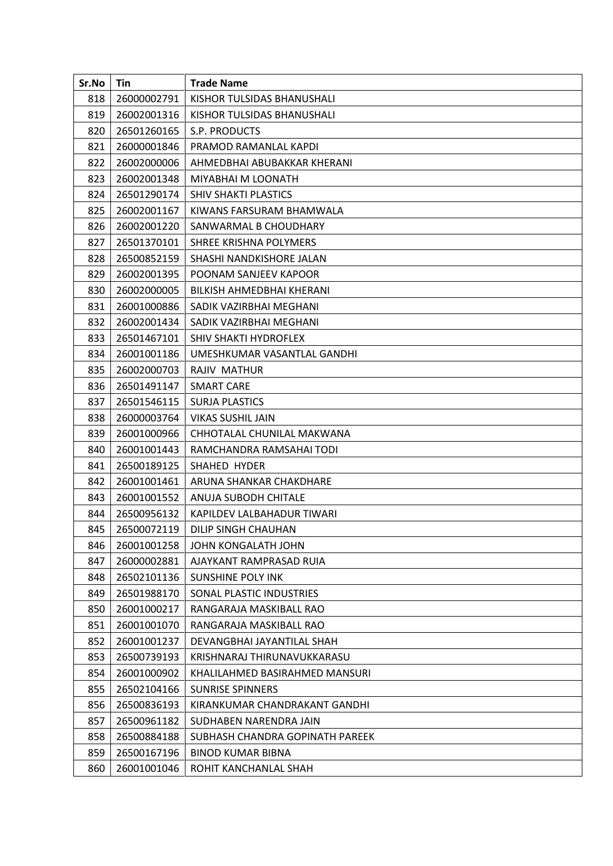| Sr.No | Tin         | <b>Trade Name</b>               |
|-------|-------------|---------------------------------|
| 818   | 26000002791 | KISHOR TULSIDAS BHANUSHALI      |
| 819   | 26002001316 | KISHOR TULSIDAS BHANUSHALI      |
| 820   | 26501260165 | S.P. PRODUCTS                   |
| 821   | 26000001846 | PRAMOD RAMANLAL KAPDI           |
| 822   | 26002000006 | AHMEDBHAI ABUBAKKAR KHERANI     |
| 823   | 26002001348 | <b>MIYABHAI M LOONATH</b>       |
| 824   | 26501290174 | <b>SHIV SHAKTI PLASTICS</b>     |
| 825   | 26002001167 | KIWANS FARSURAM BHAMWALA        |
| 826   | 26002001220 | SANWARMAL B CHOUDHARY           |
| 827   | 26501370101 | SHREE KRISHNA POLYMERS          |
| 828   | 26500852159 | SHASHI NANDKISHORE JALAN        |
| 829   | 26002001395 | POONAM SANJEEV KAPOOR           |
| 830   | 26002000005 | BILKISH AHMEDBHAI KHERANI       |
| 831   | 26001000886 | SADIK VAZIRBHAI MEGHANI         |
| 832   | 26002001434 | SADIK VAZIRBHAI MEGHANI         |
| 833   | 26501467101 | SHIV SHAKTI HYDROFLEX           |
| 834   | 26001001186 | UMESHKUMAR VASANTLAL GANDHI     |
| 835   | 26002000703 | RAJIV MATHUR                    |
| 836   | 26501491147 | <b>SMART CARE</b>               |
| 837   | 26501546115 | <b>SURJA PLASTICS</b>           |
| 838   | 26000003764 | <b>VIKAS SUSHIL JAIN</b>        |
| 839   | 26001000966 | CHHOTALAL CHUNILAL MAKWANA      |
| 840   | 26001001443 | RAMCHANDRA RAMSAHAI TODI        |
| 841   | 26500189125 | SHAHED HYDER                    |
| 842   | 26001001461 | ARUNA SHANKAR CHAKDHARE         |
| 843   | 26001001552 | ANUJA SUBODH CHITALE            |
| 844   | 26500956132 | KAPILDEV LALBAHADUR TIWARI      |
| 845   | 26500072119 | DILIP SINGH CHAUHAN             |
| 846   | 26001001258 | JOHN KONGALATH JOHN             |
| 847   | 26000002881 | AJAYKANT RAMPRASAD RUIA         |
| 848   | 26502101136 | <b>SUNSHINE POLY INK</b>        |
| 849   | 26501988170 | SONAL PLASTIC INDUSTRIES        |
| 850   | 26001000217 | RANGARAJA MASKIBALL RAO         |
| 851   | 26001001070 | RANGARAJA MASKIBALL RAO         |
| 852   | 26001001237 | DEVANGBHAI JAYANTILAL SHAH      |
| 853   | 26500739193 | KRISHNARAJ THIRUNAVUKKARASU     |
| 854   | 26001000902 | KHALILAHMED BASIRAHMED MANSURI  |
| 855   | 26502104166 | <b>SUNRISE SPINNERS</b>         |
| 856   | 26500836193 | KIRANKUMAR CHANDRAKANT GANDHI   |
| 857   | 26500961182 | SUDHABEN NARENDRA JAIN          |
| 858   | 26500884188 | SUBHASH CHANDRA GOPINATH PAREEK |
| 859   | 26500167196 | <b>BINOD KUMAR BIBNA</b>        |
| 860   | 26001001046 | ROHIT KANCHANLAL SHAH           |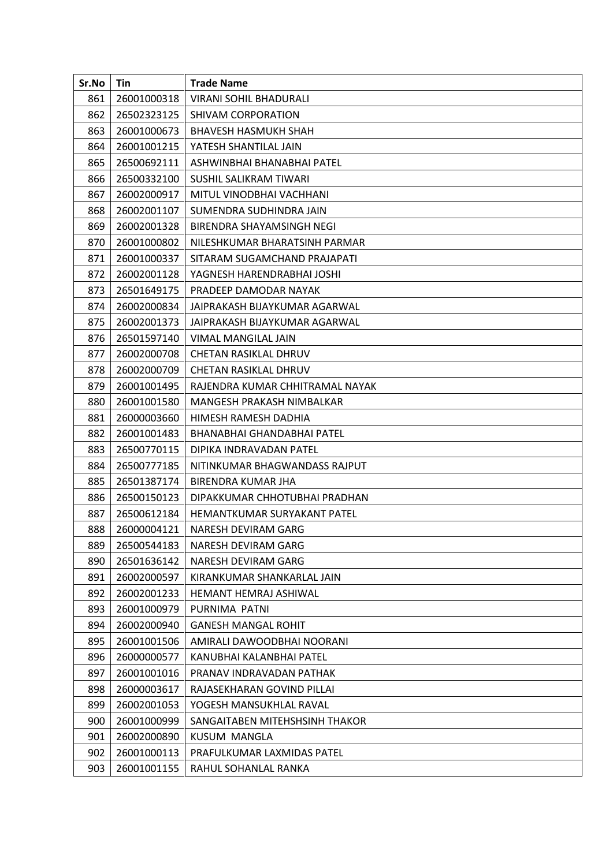| Sr.No | Tin         | <b>Trade Name</b>                  |
|-------|-------------|------------------------------------|
| 861   | 26001000318 | VIRANI SOHIL BHADURALI             |
| 862   | 26502323125 | SHIVAM CORPORATION                 |
| 863   | 26001000673 | <b>BHAVESH HASMUKH SHAH</b>        |
| 864   | 26001001215 | YATESH SHANTILAL JAIN              |
| 865   | 26500692111 | ASHWINBHAI BHANABHAI PATEL         |
| 866   | 26500332100 | <b>SUSHIL SALIKRAM TIWARI</b>      |
| 867   | 26002000917 | MITUL VINODBHAI VACHHANI           |
| 868   | 26002001107 | SUMENDRA SUDHINDRA JAIN            |
| 869   | 26002001328 | BIRENDRA SHAYAMSINGH NEGI          |
| 870   | 26001000802 | NILESHKUMAR BHARATSINH PARMAR      |
| 871   | 26001000337 | SITARAM SUGAMCHAND PRAJAPATI       |
| 872   | 26002001128 | YAGNESH HARENDRABHAI JOSHI         |
| 873   | 26501649175 | PRADEEP DAMODAR NAYAK              |
| 874   | 26002000834 | JAIPRAKASH BIJAYKUMAR AGARWAL      |
| 875   | 26002001373 | JAIPRAKASH BIJAYKUMAR AGARWAL      |
| 876   | 26501597140 | VIMAL MANGILAL JAIN                |
| 877   | 26002000708 | CHETAN RASIKLAL DHRUV              |
| 878   | 26002000709 | <b>CHETAN RASIKLAL DHRUV</b>       |
| 879   | 26001001495 | RAJENDRA KUMAR CHHITRAMAL NAYAK    |
| 880   | 26001001580 | MANGESH PRAKASH NIMBALKAR          |
| 881   | 26000003660 | HIMESH RAMESH DADHIA               |
| 882   | 26001001483 | BHANABHAI GHANDABHAI PATEL         |
| 883   | 26500770115 | DIPIKA INDRAVADAN PATEL            |
| 884   | 26500777185 | NITINKUMAR BHAGWANDASS RAJPUT      |
| 885   | 26501387174 | BIRENDRA KUMAR JHA                 |
| 886   | 26500150123 | DIPAKKUMAR CHHOTUBHAI PRADHAN      |
| 887   | 26500612184 | <b>HEMANTKUMAR SURYAKANT PATEL</b> |
| 888   | 26000004121 | NARESH DEVIRAM GARG                |
| 889   | 26500544183 | NARESH DEVIRAM GARG                |
| 890   | 26501636142 | NARESH DEVIRAM GARG                |
| 891   | 26002000597 | KIRANKUMAR SHANKARLAL JAIN         |
| 892   | 26002001233 | <b>HEMANT HEMRAJ ASHIWAL</b>       |
| 893   | 26001000979 | PURNIMA PATNI                      |
| 894   | 26002000940 | <b>GANESH MANGAL ROHIT</b>         |
| 895   | 26001001506 | AMIRALI DAWOODBHAI NOORANI         |
| 896   | 26000000577 | KANUBHAI KALANBHAI PATEL           |
| 897   | 26001001016 | PRANAV INDRAVADAN PATHAK           |
| 898   | 26000003617 | RAJASEKHARAN GOVIND PILLAI         |
| 899   | 26002001053 | YOGESH MANSUKHLAL RAVAL            |
| 900   | 26001000999 | SANGAITABEN MITEHSHSINH THAKOR     |
| 901   | 26002000890 | KUSUM MANGLA                       |
| 902   | 26001000113 | PRAFULKUMAR LAXMIDAS PATEL         |
| 903   | 26001001155 | RAHUL SOHANLAL RANKA               |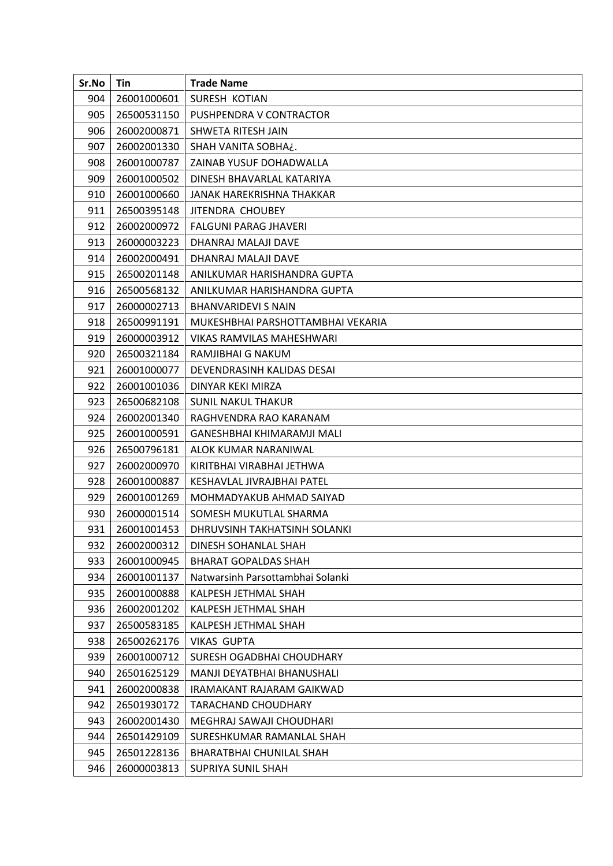| Sr.No | Tin         | <b>Trade Name</b>                 |
|-------|-------------|-----------------------------------|
| 904   | 26001000601 | SURESH KOTIAN                     |
| 905   | 26500531150 | PUSHPENDRA V CONTRACTOR           |
| 906   | 26002000871 | SHWETA RITESH JAIN                |
| 907   | 26002001330 | SHAH VANITA SOBHA¿.               |
| 908   | 26001000787 | ZAINAB YUSUF DOHADWALLA           |
| 909   | 26001000502 | DINESH BHAVARLAL KATARIYA         |
| 910   | 26001000660 | JANAK HAREKRISHNA THAKKAR         |
| 911   | 26500395148 | JITENDRA CHOUBEY                  |
| 912   | 26002000972 | FALGUNI PARAG JHAVERI             |
| 913   | 26000003223 | DHANRAJ MALAJI DAVE               |
| 914   | 26002000491 | DHANRAJ MALAJI DAVE               |
| 915   | 26500201148 | ANILKUMAR HARISHANDRA GUPTA       |
| 916   | 26500568132 | ANILKUMAR HARISHANDRA GUPTA       |
| 917   | 26000002713 | <b>BHANVARIDEVI S NAIN</b>        |
| 918   | 26500991191 | MUKESHBHAI PARSHOTTAMBHAI VEKARIA |
| 919   | 26000003912 | VIKAS RAMVILAS MAHESHWARI         |
| 920   | 26500321184 | RAMJIBHAI G NAKUM                 |
| 921   | 26001000077 | DEVENDRASINH KALIDAS DESAI        |
| 922   | 26001001036 | DINYAR KEKI MIRZA                 |
| 923   | 26500682108 | <b>SUNIL NAKUL THAKUR</b>         |
| 924   | 26002001340 | RAGHVENDRA RAO KARANAM            |
| 925   | 26001000591 | GANESHBHAI KHIMARAMJI MALI        |
| 926   | 26500796181 | ALOK KUMAR NARANIWAL              |
| 927   | 26002000970 | KIRITBHAI VIRABHAI JETHWA         |
| 928   | 26001000887 | KESHAVLAL JIVRAJBHAI PATEL        |
| 929   | 26001001269 | MOHMADYAKUB AHMAD SAIYAD          |
| 930   | 26000001514 | SOMESH MUKUTLAL SHARMA            |
| 931   | 26001001453 | DHRUVSINH TAKHATSINH SOLANKI      |
| 932   | 26002000312 | DINESH SOHANLAL SHAH              |
| 933   | 26001000945 | <b>BHARAT GOPALDAS SHAH</b>       |
| 934   | 26001001137 | Natwarsinh Parsottambhai Solanki  |
| 935   | 26001000888 | KALPESH JETHMAL SHAH              |
| 936   | 26002001202 | KALPESH JETHMAL SHAH              |
| 937   | 26500583185 | KALPESH JETHMAL SHAH              |
| 938   | 26500262176 | <b>VIKAS GUPTA</b>                |
| 939   | 26001000712 | SURESH OGADBHAI CHOUDHARY         |
| 940   | 26501625129 | MANJI DEYATBHAI BHANUSHALI        |
| 941   | 26002000838 | IRAMAKANT RAJARAM GAIKWAD         |
| 942   | 26501930172 | <b>TARACHAND CHOUDHARY</b>        |
| 943   | 26002001430 | MEGHRAJ SAWAJI CHOUDHARI          |
| 944   | 26501429109 | SURESHKUMAR RAMANLAL SHAH         |
| 945   | 26501228136 | BHARATBHAI CHUNILAL SHAH          |
| 946   | 26000003813 | SUPRIYA SUNIL SHAH                |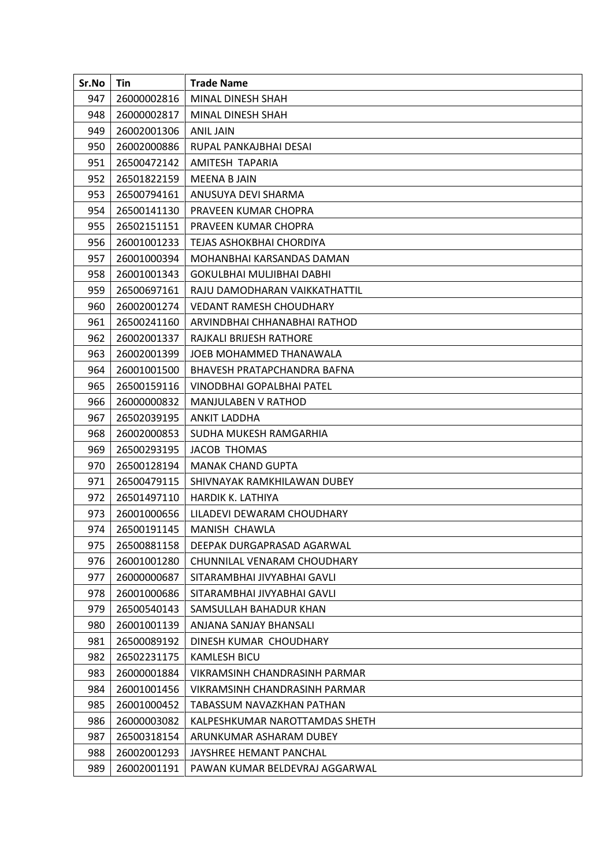| Sr.No | Tin         | <b>Trade Name</b>              |
|-------|-------------|--------------------------------|
| 947   | 26000002816 | MINAL DINESH SHAH              |
| 948   | 26000002817 | MINAL DINESH SHAH              |
| 949   | 26002001306 | <b>ANIL JAIN</b>               |
| 950   | 26002000886 | RUPAL PANKAJBHAI DESAI         |
| 951   | 26500472142 | AMITESH TAPARIA                |
| 952   | 26501822159 | <b>MEENA BJAIN</b>             |
| 953   | 26500794161 | ANUSUYA DEVI SHARMA            |
| 954   | 26500141130 | PRAVEEN KUMAR CHOPRA           |
| 955   | 26502151151 | PRAVEEN KUMAR CHOPRA           |
| 956   | 26001001233 | TEJAS ASHOKBHAI CHORDIYA       |
| 957   | 26001000394 | MOHANBHAI KARSANDAS DAMAN      |
| 958   | 26001001343 | GOKULBHAI MULJIBHAI DABHI      |
| 959   | 26500697161 | RAJU DAMODHARAN VAIKKATHATTIL  |
| 960   | 26002001274 | <b>VEDANT RAMESH CHOUDHARY</b> |
| 961   | 26500241160 | ARVINDBHAI CHHANABHAI RATHOD   |
| 962   | 26002001337 | RAJKALI BRIJESH RATHORE        |
| 963   | 26002001399 | JOEB MOHAMMED THANAWALA        |
| 964   | 26001001500 | BHAVESH PRATAPCHANDRA BAFNA    |
| 965   | 26500159116 | VINODBHAI GOPALBHAI PATEL      |
| 966   | 26000000832 | MANJULABEN V RATHOD            |
| 967   | 26502039195 | <b>ANKIT LADDHA</b>            |
| 968   | 26002000853 | SUDHA MUKESH RAMGARHIA         |
| 969   | 26500293195 | JACOB THOMAS                   |
| 970   | 26500128194 | <b>MANAK CHAND GUPTA</b>       |
| 971   | 26500479115 | SHIVNAYAK RAMKHILAWAN DUBEY    |
| 972   | 26501497110 | HARDIK K. LATHIYA              |
| 973   | 26001000656 | LILADEVI DEWARAM CHOUDHARY     |
| 974   | 26500191145 | MANISH CHAWLA                  |
| 975   | 26500881158 | DEEPAK DURGAPRASAD AGARWAL     |
| 976   | 26001001280 | CHUNNILAL VENARAM CHOUDHARY    |
| 977   | 26000000687 | SITARAMBHAI JIVYABHAI GAVLI    |
| 978   | 26001000686 | SITARAMBHAI JIVYABHAI GAVLI    |
| 979   | 26500540143 | SAMSULLAH BAHADUR KHAN         |
| 980   | 26001001139 | ANJANA SANJAY BHANSALI         |
| 981   | 26500089192 | DINESH KUMAR CHOUDHARY         |
| 982   | 26502231175 | <b>KAMLESH BICU</b>            |
| 983   | 26000001884 | VIKRAMSINH CHANDRASINH PARMAR  |
| 984   | 26001001456 | VIKRAMSINH CHANDRASINH PARMAR  |
| 985   | 26001000452 | TABASSUM NAVAZKHAN PATHAN      |
| 986   | 26000003082 | KALPESHKUMAR NAROTTAMDAS SHETH |
| 987   | 26500318154 | ARUNKUMAR ASHARAM DUBEY        |
| 988   | 26002001293 | JAYSHREE HEMANT PANCHAL        |
| 989   | 26002001191 | PAWAN KUMAR BELDEVRAJ AGGARWAL |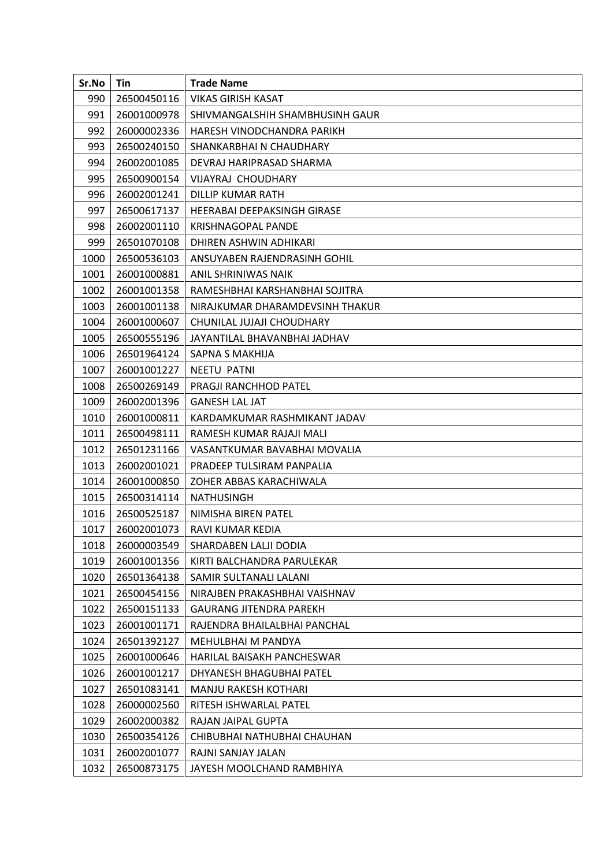| Sr.No | Tin         | <b>Trade Name</b>                  |
|-------|-------------|------------------------------------|
| 990   | 26500450116 | VIKAS GIRISH KASAT                 |
| 991   | 26001000978 | SHIVMANGALSHIH SHAMBHUSINH GAUR    |
| 992   | 26000002336 | HARESH VINODCHANDRA PARIKH         |
| 993   | 26500240150 | SHANKARBHAI N CHAUDHARY            |
| 994   | 26002001085 | DEVRAJ HARIPRASAD SHARMA           |
| 995   | 26500900154 | VIJAYRAJ CHOUDHARY                 |
| 996   | 26002001241 | DILLIP KUMAR RATH                  |
| 997   | 26500617137 | <b>HEERABAI DEEPAKSINGH GIRASE</b> |
| 998   | 26002001110 | KRISHNAGOPAL PANDE                 |
| 999   | 26501070108 | DHIREN ASHWIN ADHIKARI             |
| 1000  | 26500536103 | ANSUYABEN RAJENDRASINH GOHIL       |
| 1001  | 26001000881 | ANIL SHRINIWAS NAIK                |
| 1002  | 26001001358 | RAMESHBHAI KARSHANBHAI SOJITRA     |
| 1003  | 26001001138 | NIRAJKUMAR DHARAMDEVSINH THAKUR    |
| 1004  | 26001000607 | CHUNILAL JUJAJI CHOUDHARY          |
| 1005  | 26500555196 | JAYANTILAL BHAVANBHAI JADHAV       |
| 1006  | 26501964124 | SAPNA S MAKHIJA                    |
| 1007  | 26001001227 | NEETU PATNI                        |
| 1008  | 26500269149 | PRAGJI RANCHHOD PATEL              |
| 1009  | 26002001396 | <b>GANESH LAL JAT</b>              |
| 1010  | 26001000811 | KARDAMKUMAR RASHMIKANT JADAV       |
| 1011  | 26500498111 | RAMESH KUMAR RAJAJI MALI           |
| 1012  | 26501231166 | VASANTKUMAR BAVABHAI MOVALIA       |
| 1013  | 26002001021 | PRADEEP TULSIRAM PANPALIA          |
| 1014  | 26001000850 | ZOHER ABBAS KARACHIWALA            |
| 1015  | 26500314114 | <b>NATHUSINGH</b>                  |
| 1016  | 26500525187 | NIMISHA BIREN PATEL                |
| 1017  | 26002001073 | RAVI KUMAR KEDIA                   |
| 1018  | 26000003549 | SHARDABEN LALJI DODIA              |
| 1019  | 26001001356 | KIRTI BALCHANDRA PARULEKAR         |
| 1020  | 26501364138 | SAMIR SULTANALI LALANI             |
| 1021  | 26500454156 | NIRAJBEN PRAKASHBHAI VAISHNAV      |
| 1022  | 26500151133 | <b>GAURANG JITENDRA PAREKH</b>     |
| 1023  | 26001001171 | RAJENDRA BHAILALBHAI PANCHAL       |
| 1024  | 26501392127 | MEHULBHAI M PANDYA                 |
| 1025  | 26001000646 | HARILAL BAISAKH PANCHESWAR         |
| 1026  | 26001001217 | DHYANESH BHAGUBHAI PATEL           |
| 1027  | 26501083141 | MANJU RAKESH KOTHARI               |
| 1028  | 26000002560 | RITESH ISHWARLAL PATEL             |
| 1029  | 26002000382 | RAJAN JAIPAL GUPTA                 |
| 1030  | 26500354126 | CHIBUBHAI NATHUBHAI CHAUHAN        |
| 1031  | 26002001077 | RAJNI SANJAY JALAN                 |
| 1032  | 26500873175 | JAYESH MOOLCHAND RAMBHIYA          |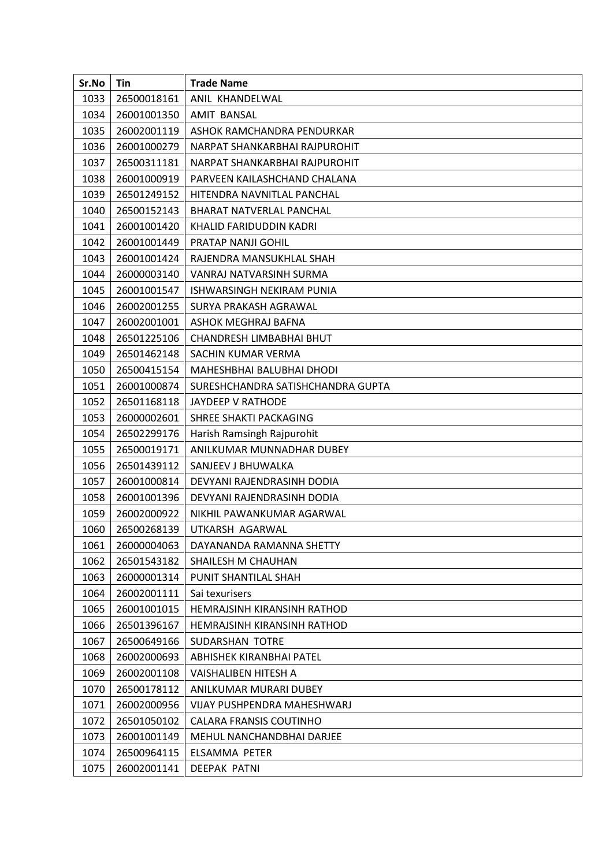| Sr.No | Tin         | <b>Trade Name</b>                 |
|-------|-------------|-----------------------------------|
| 1033  | 26500018161 | ANIL KHANDELWAL                   |
| 1034  | 26001001350 | <b>AMIT BANSAL</b>                |
| 1035  | 26002001119 | ASHOK RAMCHANDRA PENDURKAR        |
| 1036  | 26001000279 | NARPAT SHANKARBHAI RAJPUROHIT     |
| 1037  | 26500311181 | NARPAT SHANKARBHAI RAJPUROHIT     |
| 1038  | 26001000919 | PARVEEN KAILASHCHAND CHALANA      |
| 1039  | 26501249152 | HITENDRA NAVNITLAL PANCHAL        |
| 1040  | 26500152143 | <b>BHARAT NATVERLAL PANCHAL</b>   |
| 1041  | 26001001420 | KHALID FARIDUDDIN KADRI           |
| 1042  | 26001001449 | PRATAP NANJI GOHIL                |
| 1043  | 26001001424 | RAJENDRA MANSUKHLAL SHAH          |
| 1044  | 26000003140 | VANRAJ NATVARSINH SURMA           |
| 1045  | 26001001547 | ISHWARSINGH NEKIRAM PUNIA         |
| 1046  | 26002001255 | SURYA PRAKASH AGRAWAL             |
| 1047  | 26002001001 | ASHOK MEGHRAJ BAFNA               |
| 1048  | 26501225106 | CHANDRESH LIMBABHAI BHUT          |
| 1049  | 26501462148 | SACHIN KUMAR VERMA                |
| 1050  | 26500415154 | MAHESHBHAI BALUBHAI DHODI         |
| 1051  | 26001000874 | SURESHCHANDRA SATISHCHANDRA GUPTA |
| 1052  | 26501168118 | <b>JAYDEEP V RATHODE</b>          |
| 1053  | 26000002601 | SHREE SHAKTI PACKAGING            |
| 1054  | 26502299176 | Harish Ramsingh Rajpurohit        |
| 1055  | 26500019171 | ANILKUMAR MUNNADHAR DUBEY         |
| 1056  | 26501439112 | SANJEEV J BHUWALKA                |
| 1057  | 26001000814 | DEVYANI RAJENDRASINH DODIA        |
| 1058  | 26001001396 | DEVYANI RAJENDRASINH DODIA        |
| 1059  | 26002000922 | NIKHIL PAWANKUMAR AGARWAL         |
| 1060  | 26500268139 | UTKARSH AGARWAL                   |
| 1061  | 26000004063 | DAYANANDA RAMANNA SHETTY          |
| 1062  | 26501543182 | SHAILESH M CHAUHAN                |
| 1063  | 26000001314 | PUNIT SHANTILAL SHAH              |
| 1064  | 26002001111 | Sai texurisers                    |
| 1065  | 26001001015 | HEMRAJSINH KIRANSINH RATHOD       |
| 1066  | 26501396167 | HEMRAJSINH KIRANSINH RATHOD       |
| 1067  | 26500649166 | SUDARSHAN TOTRE                   |
| 1068  | 26002000693 | <b>ABHISHEK KIRANBHAI PATEL</b>   |
| 1069  | 26002001108 | VAISHALIBEN HITESH A              |
| 1070  | 26500178112 | ANILKUMAR MURARI DUBEY            |
| 1071  | 26002000956 | VIJAY PUSHPENDRA MAHESHWARJ       |
| 1072  | 26501050102 | CALARA FRANSIS COUTINHO           |
| 1073  | 26001001149 | MEHUL NANCHANDBHAI DARJEE         |
| 1074  | 26500964115 | ELSAMMA PETER                     |
| 1075  | 26002001141 | <b>DEEPAK PATNI</b>               |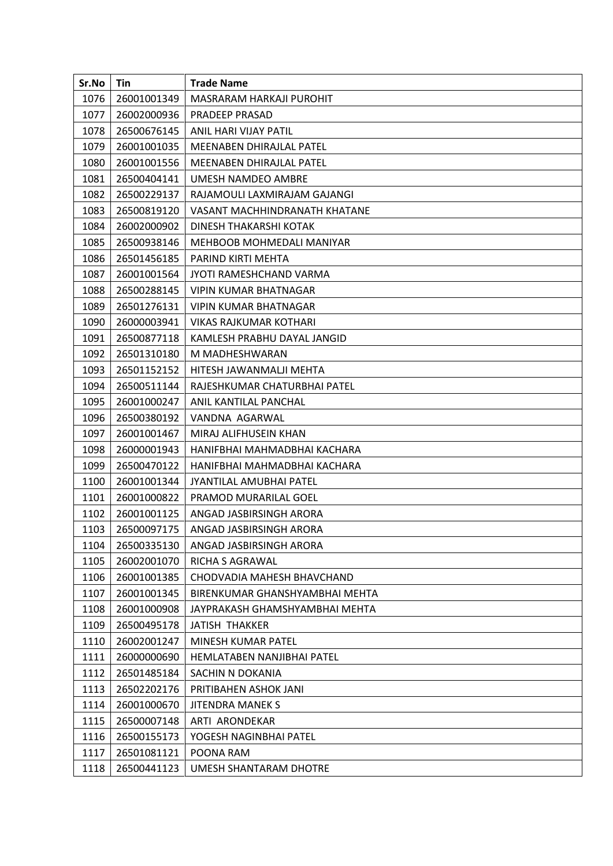| Sr.No | Tin         | <b>Trade Name</b>              |
|-------|-------------|--------------------------------|
| 1076  | 26001001349 | MASRARAM HARKAJI PUROHIT       |
| 1077  | 26002000936 | PRADEEP PRASAD                 |
| 1078  | 26500676145 | ANIL HARI VIJAY PATIL          |
| 1079  | 26001001035 | MEENABEN DHIRAJLAL PATEL       |
| 1080  | 26001001556 | MEENABEN DHIRAJLAL PATEL       |
| 1081  | 26500404141 | UMESH NAMDEO AMBRE             |
| 1082  | 26500229137 | RAJAMOULI LAXMIRAJAM GAJANGI   |
| 1083  | 26500819120 | VASANT MACHHINDRANATH KHATANE  |
| 1084  | 26002000902 | DINESH THAKARSHI KOTAK         |
| 1085  | 26500938146 | MEHBOOB MOHMEDALI MANIYAR      |
| 1086  | 26501456185 | PARIND KIRTI MEHTA             |
| 1087  | 26001001564 | JYOTI RAMESHCHAND VARMA        |
| 1088  | 26500288145 | VIPIN KUMAR BHATNAGAR          |
| 1089  | 26501276131 | <b>VIPIN KUMAR BHATNAGAR</b>   |
| 1090  | 26000003941 | VIKAS RAJKUMAR KOTHARI         |
| 1091  | 26500877118 | KAMLESH PRABHU DAYAL JANGID    |
| 1092  | 26501310180 | M MADHESHWARAN                 |
| 1093  | 26501152152 | HITESH JAWANMALJI MEHTA        |
| 1094  | 26500511144 | RAJESHKUMAR CHATURBHAI PATEL   |
| 1095  | 26001000247 | ANIL KANTILAL PANCHAL          |
| 1096  | 26500380192 | VANDNA AGARWAL                 |
| 1097  | 26001001467 | MIRAJ ALIFHUSEIN KHAN          |
| 1098  | 26000001943 | HANIFBHAI MAHMADBHAI KACHARA   |
| 1099  | 26500470122 | HANIFBHAI MAHMADBHAI KACHARA   |
| 1100  | 26001001344 | JYANTILAL AMUBHAI PATEL        |
| 1101  | 26001000822 | PRAMOD MURARILAL GOEL          |
| 1102  | 26001001125 | ANGAD JASBIRSINGH ARORA        |
| 1103  | 26500097175 | ANGAD JASBIRSINGH ARORA        |
| 1104  | 26500335130 | ANGAD JASBIRSINGH ARORA        |
| 1105  | 26002001070 | RICHA S AGRAWAL                |
| 1106  | 26001001385 | CHODVADIA MAHESH BHAVCHAND     |
| 1107  | 26001001345 | BIRENKUMAR GHANSHYAMBHAI MEHTA |
| 1108  | 26001000908 | JAYPRAKASH GHAMSHYAMBHAI MEHTA |
| 1109  | 26500495178 | JATISH THAKKER                 |
| 1110  | 26002001247 | MINESH KUMAR PATEL             |
| 1111  | 26000000690 | HEMLATABEN NANJIBHAI PATEL     |
| 1112  | 26501485184 | SACHIN N DOKANIA               |
| 1113  | 26502202176 | PRITIBAHEN ASHOK JANI          |
| 1114  | 26001000670 | <b>JITENDRA MANEK S</b>        |
| 1115  | 26500007148 | ARTI ARONDEKAR                 |
| 1116  | 26500155173 | YOGESH NAGINBHAI PATEL         |
| 1117  | 26501081121 | POONA RAM                      |
| 1118  | 26500441123 | UMESH SHANTARAM DHOTRE         |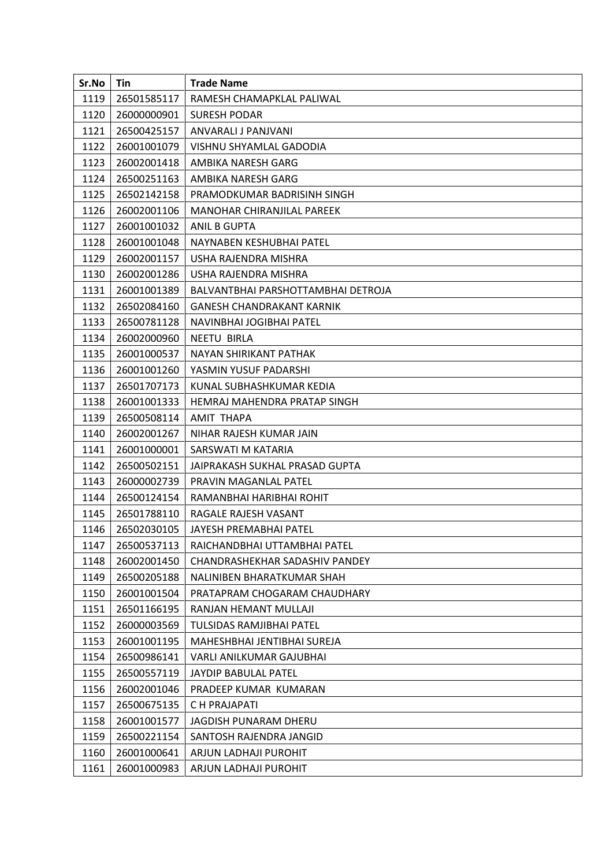| Sr.No | Tin         | <b>Trade Name</b>                  |
|-------|-------------|------------------------------------|
| 1119  | 26501585117 | RAMESH CHAMAPKLAL PALIWAL          |
| 1120  | 26000000901 | <b>SURESH PODAR</b>                |
| 1121  | 26500425157 | ANVARALI J PANJVANI                |
| 1122  | 26001001079 | VISHNU SHYAMLAL GADODIA            |
| 1123  | 26002001418 | AMBIKA NARESH GARG                 |
| 1124  | 26500251163 | AMBIKA NARESH GARG                 |
| 1125  | 26502142158 | PRAMODKUMAR BADRISINH SINGH        |
| 1126  | 26002001106 | MANOHAR CHIRANJILAL PAREEK         |
| 1127  | 26001001032 | ANIL B GUPTA                       |
| 1128  | 26001001048 | NAYNABEN KESHUBHAI PATEL           |
| 1129  | 26002001157 | USHA RAJENDRA MISHRA               |
| 1130  | 26002001286 | USHA RAJENDRA MISHRA               |
| 1131  | 26001001389 | BALVANTBHAI PARSHOTTAMBHAI DETROJA |
| 1132  | 26502084160 | <b>GANESH CHANDRAKANT KARNIK</b>   |
| 1133  | 26500781128 | NAVINBHAI JOGIBHAI PATEL           |
| 1134  | 26002000960 | <b>NEETU BIRLA</b>                 |
| 1135  | 26001000537 | NAYAN SHIRIKANT PATHAK             |
| 1136  | 26001001260 | YASMIN YUSUF PADARSHI              |
| 1137  | 26501707173 | KUNAL SUBHASHKUMAR KEDIA           |
| 1138  | 26001001333 | HEMRAJ MAHENDRA PRATAP SINGH       |
| 1139  | 26500508114 | <b>AMIT THAPA</b>                  |
| 1140  | 26002001267 | NIHAR RAJESH KUMAR JAIN            |
| 1141  | 26001000001 | SARSWATI M KATARIA                 |
| 1142  | 26500502151 | JAIPRAKASH SUKHAL PRASAD GUPTA     |
| 1143  | 26000002739 | PRAVIN MAGANLAL PATEL              |
| 1144  | 26500124154 | RAMANBHAI HARIBHAI ROHIT           |
| 1145  | 26501788110 | RAGALE RAJESH VASANT               |
| 1146  | 26502030105 | JAYESH PREMABHAI PATEL             |
| 1147  | 26500537113 | RAICHANDBHAI UTTAMBHAI PATEL       |
| 1148  | 26002001450 | CHANDRASHEKHAR SADASHIV PANDEY     |
| 1149  | 26500205188 | NALINIBEN BHARATKUMAR SHAH         |
| 1150  | 26001001504 | PRATAPRAM CHOGARAM CHAUDHARY       |
| 1151  | 26501166195 | RANJAN HEMANT MULLAJI              |
| 1152  | 26000003569 | TULSIDAS RAMJIBHAI PATEL           |
| 1153  | 26001001195 | MAHESHBHAI JENTIBHAI SUREJA        |
| 1154  | 26500986141 | VARLI ANILKUMAR GAJUBHAI           |
| 1155  | 26500557119 | JAYDIP BABULAL PATEL               |
| 1156  | 26002001046 | PRADEEP KUMAR KUMARAN              |
| 1157  | 26500675135 | C H PRAJAPATI                      |
| 1158  | 26001001577 | JAGDISH PUNARAM DHERU              |
| 1159  | 26500221154 | SANTOSH RAJENDRA JANGID            |
| 1160  | 26001000641 | ARJUN LADHAJI PUROHIT              |
| 1161  | 26001000983 | ARJUN LADHAJI PUROHIT              |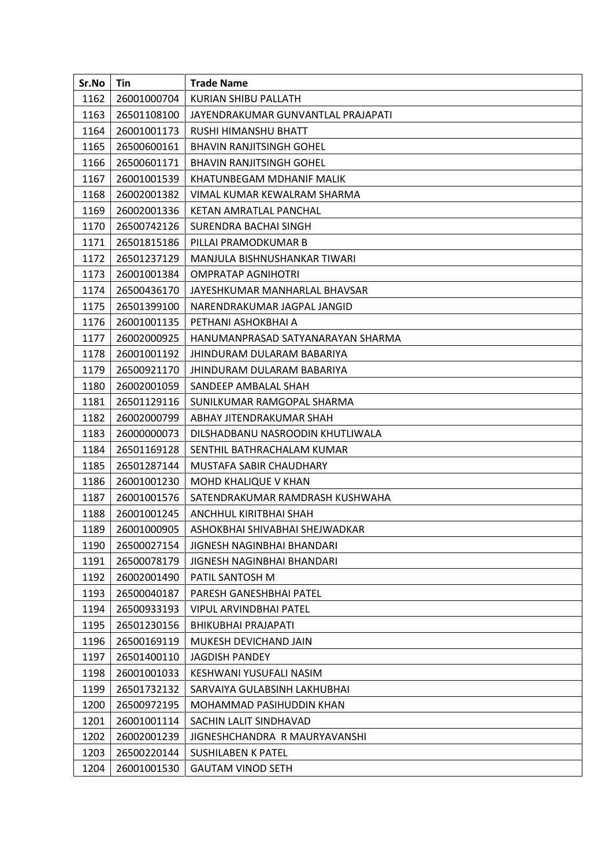| Sr.No | Tin         | <b>Trade Name</b>                  |
|-------|-------------|------------------------------------|
| 1162  | 26001000704 | KURIAN SHIBU PALLATH               |
| 1163  | 26501108100 | JAYENDRAKUMAR GUNVANTLAL PRAJAPATI |
| 1164  | 26001001173 | RUSHI HIMANSHU BHATT               |
| 1165  | 26500600161 | <b>BHAVIN RANJITSINGH GOHEL</b>    |
| 1166  | 26500601171 | <b>BHAVIN RANJITSINGH GOHEL</b>    |
| 1167  | 26001001539 | KHATUNBEGAM MDHANIF MALIK          |
| 1168  | 26002001382 | VIMAL KUMAR KEWALRAM SHARMA        |
| 1169  | 26002001336 | KETAN AMRATLAL PANCHAL             |
| 1170  | 26500742126 | SURENDRA BACHAI SINGH              |
| 1171  | 26501815186 | PILLAI PRAMODKUMAR B               |
| 1172  | 26501237129 | MANJULA BISHNUSHANKAR TIWARI       |
| 1173  | 26001001384 | <b>OMPRATAP AGNIHOTRI</b>          |
| 1174  | 26500436170 | JAYESHKUMAR MANHARLAL BHAVSAR      |
| 1175  | 26501399100 | NARENDRAKUMAR JAGPAL JANGID        |
| 1176  | 26001001135 | PETHANI ASHOKBHAI A                |
| 1177  | 26002000925 | HANUMANPRASAD SATYANARAYAN SHARMA  |
| 1178  | 26001001192 | JHINDURAM DULARAM BABARIYA         |
| 1179  | 26500921170 | JHINDURAM DULARAM BABARIYA         |
| 1180  | 26002001059 | SANDEEP AMBALAL SHAH               |
| 1181  | 26501129116 | SUNILKUMAR RAMGOPAL SHARMA         |
| 1182  | 26002000799 | ABHAY JITENDRAKUMAR SHAH           |
| 1183  | 26000000073 | DILSHADBANU NASROODIN KHUTLIWALA   |
| 1184  | 26501169128 | SENTHIL BATHRACHALAM KUMAR         |
| 1185  | 26501287144 | MUSTAFA SABIR CHAUDHARY            |
| 1186  | 26001001230 | MOHD KHALIQUE V KHAN               |
| 1187  | 26001001576 | SATENDRAKUMAR RAMDRASH KUSHWAHA    |
| 1188  | 26001001245 | ANCHHUL KIRITBHAI SHAH             |
| 1189  | 26001000905 | ASHOKBHAI SHIVABHAI SHEJWADKAR     |
| 1190  | 26500027154 | JIGNESH NAGINBHAI BHANDARI         |
| 1191  | 26500078179 | JIGNESH NAGINBHAI BHANDARI         |
| 1192  | 26002001490 | PATIL SANTOSH M                    |
| 1193  | 26500040187 | PARESH GANESHBHAI PATEL            |
| 1194  | 26500933193 | <b>VIPUL ARVINDBHAI PATEL</b>      |
| 1195  | 26501230156 | <b>BHIKUBHAI PRAJAPATI</b>         |
| 1196  | 26500169119 | MUKESH DEVICHAND JAIN              |
| 1197  | 26501400110 | <b>JAGDISH PANDEY</b>              |
| 1198  | 26001001033 | KESHWANI YUSUFALI NASIM            |
| 1199  | 26501732132 | SARVAIYA GULABSINH LAKHUBHAI       |
| 1200  | 26500972195 | MOHAMMAD PASIHUDDIN KHAN           |
| 1201  | 26001001114 | SACHIN LALIT SINDHAVAD             |
| 1202  | 26002001239 | JIGNESHCHANDRA R MAURYAVANSHI      |
| 1203  | 26500220144 | <b>SUSHILABEN K PATEL</b>          |
| 1204  | 26001001530 | <b>GAUTAM VINOD SETH</b>           |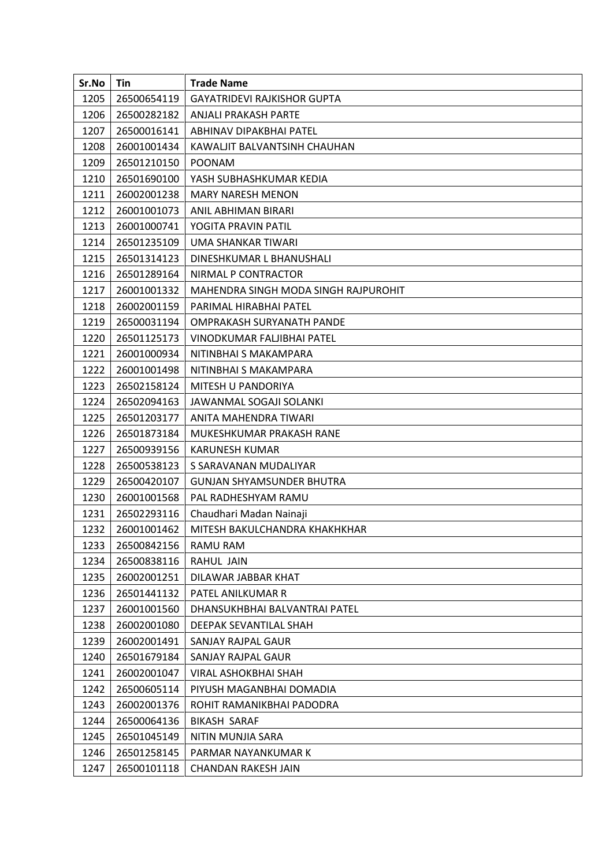| Sr.No | Tin         | <b>Trade Name</b>                    |
|-------|-------------|--------------------------------------|
| 1205  | 26500654119 | <b>GAYATRIDEVI RAJKISHOR GUPTA</b>   |
| 1206  | 26500282182 | <b>ANJALI PRAKASH PARTE</b>          |
| 1207  | 26500016141 | ABHINAV DIPAKBHAI PATEL              |
| 1208  | 26001001434 | KAWALJIT BALVANTSINH CHAUHAN         |
| 1209  | 26501210150 | <b>POONAM</b>                        |
| 1210  | 26501690100 | YASH SUBHASHKUMAR KEDIA              |
| 1211  | 26002001238 | <b>MARY NARESH MENON</b>             |
| 1212  | 26001001073 | ANIL ABHIMAN BIRARI                  |
| 1213  | 26001000741 | YOGITA PRAVIN PATIL                  |
| 1214  | 26501235109 | UMA SHANKAR TIWARI                   |
| 1215  | 26501314123 | DINESHKUMAR L BHANUSHALI             |
| 1216  | 26501289164 | NIRMAL P CONTRACTOR                  |
| 1217  | 26001001332 | MAHENDRA SINGH MODA SINGH RAJPUROHIT |
| 1218  | 26002001159 | PARIMAL HIRABHAI PATEL               |
| 1219  | 26500031194 | OMPRAKASH SURYANATH PANDE            |
| 1220  | 26501125173 | VINODKUMAR FALJIBHAI PATEL           |
| 1221  | 26001000934 | NITINBHAI S MAKAMPARA                |
| 1222  | 26001001498 | NITINBHAI S MAKAMPARA                |
| 1223  | 26502158124 | MITESH U PANDORIYA                   |
| 1224  | 26502094163 | JAWANMAL SOGAJI SOLANKI              |
| 1225  | 26501203177 | ANITA MAHENDRA TIWARI                |
| 1226  | 26501873184 | MUKESHKUMAR PRAKASH RANE             |
| 1227  | 26500939156 | <b>KARUNESH KUMAR</b>                |
| 1228  | 26500538123 | S SARAVANAN MUDALIYAR                |
| 1229  | 26500420107 | <b>GUNJAN SHYAMSUNDER BHUTRA</b>     |
| 1230  | 26001001568 | PAL RADHESHYAM RAMU                  |
| 1231  | 26502293116 | Chaudhari Madan Nainaji              |
| 1232  | 26001001462 | MITESH BAKULCHANDRA KHAKHKHAR        |
| 1233  | 26500842156 | RAMU RAM                             |
| 1234  | 26500838116 | RAHUL JAIN                           |
| 1235  | 26002001251 | DILAWAR JABBAR KHAT                  |
| 1236  | 26501441132 | PATEL ANILKUMAR R                    |
| 1237  | 26001001560 | DHANSUKHBHAI BALVANTRAI PATEL        |
| 1238  | 26002001080 | DEEPAK SEVANTILAL SHAH               |
| 1239  | 26002001491 | SANJAY RAJPAL GAUR                   |
| 1240  | 26501679184 | SANJAY RAJPAL GAUR                   |
| 1241  | 26002001047 | VIRAL ASHOKBHAI SHAH                 |
| 1242  | 26500605114 | PIYUSH MAGANBHAI DOMADIA             |
| 1243  | 26002001376 | ROHIT RAMANIKBHAI PADODRA            |
| 1244  | 26500064136 | <b>BIKASH SARAF</b>                  |
| 1245  | 26501045149 | NITIN MUNJIA SARA                    |
| 1246  | 26501258145 | PARMAR NAYANKUMAR K                  |
| 1247  | 26500101118 | CHANDAN RAKESH JAIN                  |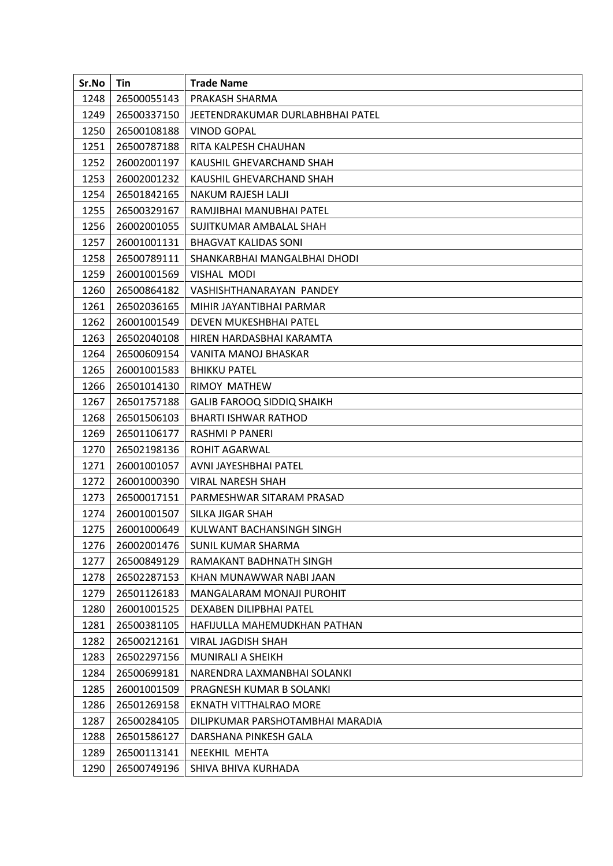| Sr.No | Tin         | <b>Trade Name</b>                 |
|-------|-------------|-----------------------------------|
| 1248  | 26500055143 | PRAKASH SHARMA                    |
| 1249  | 26500337150 | JEETENDRAKUMAR DURLABHBHAI PATEL  |
| 1250  | 26500108188 | <b>VINOD GOPAL</b>                |
| 1251  | 26500787188 | RITA KALPESH CHAUHAN              |
| 1252  | 26002001197 | KAUSHIL GHEVARCHAND SHAH          |
| 1253  | 26002001232 | KAUSHIL GHEVARCHAND SHAH          |
| 1254  | 26501842165 | NAKUM RAJESH LALJI                |
| 1255  | 26500329167 | RAMJIBHAI MANUBHAI PATEL          |
| 1256  | 26002001055 | SUJITKUMAR AMBALAL SHAH           |
| 1257  | 26001001131 | <b>BHAGVAT KALIDAS SONI</b>       |
| 1258  | 26500789111 | SHANKARBHAI MANGALBHAI DHODI      |
| 1259  | 26001001569 | <b>VISHAL MODI</b>                |
| 1260  | 26500864182 | VASHISHTHANARAYAN PANDEY          |
| 1261  | 26502036165 | MIHIR JAYANTIBHAI PARMAR          |
| 1262  | 26001001549 | DEVEN MUKESHBHAI PATEL            |
| 1263  | 26502040108 | HIREN HARDASBHAI KARAMTA          |
| 1264  | 26500609154 | VANITA MANOJ BHASKAR              |
| 1265  | 26001001583 | <b>BHIKKU PATEL</b>               |
| 1266  | 26501014130 | RIMOY MATHEW                      |
| 1267  | 26501757188 | <b>GALIB FAROOQ SIDDIQ SHAIKH</b> |
| 1268  | 26501506103 | <b>BHARTI ISHWAR RATHOD</b>       |
| 1269  | 26501106177 | RASHMI P PANERI                   |
| 1270  | 26502198136 | ROHIT AGARWAL                     |
| 1271  | 26001001057 | AVNI JAYESHBHAI PATEL             |
| 1272  | 26001000390 | VIRAL NARESH SHAH                 |
| 1273  | 26500017151 | PARMESHWAR SITARAM PRASAD         |
| 1274  | 26001001507 | SILKA JIGAR SHAH                  |
| 1275  | 26001000649 | KULWANT BACHANSINGH SINGH         |
| 1276  | 26002001476 | <b>SUNIL KUMAR SHARMA</b>         |
| 1277  | 26500849129 | RAMAKANT BADHNATH SINGH           |
| 1278  | 26502287153 | KHAN MUNAWWAR NABI JAAN           |
| 1279  | 26501126183 | MANGALARAM MONAJI PUROHIT         |
| 1280  | 26001001525 | DEXABEN DILIPBHAI PATEL           |
| 1281  | 26500381105 | HAFIJULLA MAHEMUDKHAN PATHAN      |
| 1282  | 26500212161 | VIRAL JAGDISH SHAH                |
| 1283  | 26502297156 | MUNIRALI A SHEIKH                 |
| 1284  | 26500699181 | NARENDRA LAXMANBHAI SOLANKI       |
| 1285  | 26001001509 | PRAGNESH KUMAR B SOLANKI          |
| 1286  | 26501269158 | EKNATH VITTHALRAO MORE            |
| 1287  | 26500284105 | DILIPKUMAR PARSHOTAMBHAI MARADIA  |
| 1288  | 26501586127 | DARSHANA PINKESH GALA             |
| 1289  | 26500113141 | NEEKHIL MEHTA                     |
| 1290  | 26500749196 | SHIVA BHIVA KURHADA               |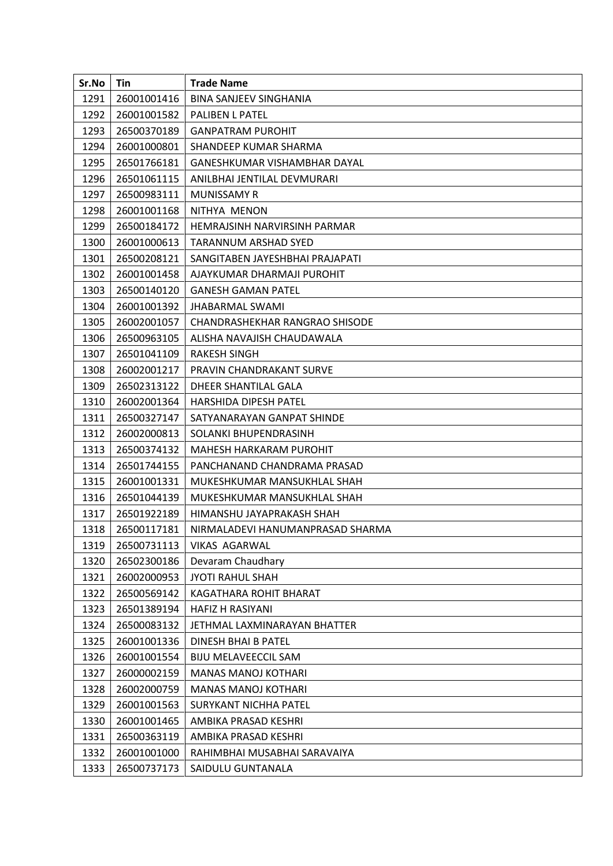| Sr.No | Tin         | <b>Trade Name</b>                |
|-------|-------------|----------------------------------|
| 1291  | 26001001416 | <b>BINA SANJEEV SINGHANIA</b>    |
| 1292  | 26001001582 | PALIBEN L PATEL                  |
| 1293  | 26500370189 | <b>GANPATRAM PUROHIT</b>         |
| 1294  | 26001000801 | SHANDEEP KUMAR SHARMA            |
| 1295  | 26501766181 | GANESHKUMAR VISHAMBHAR DAYAL     |
| 1296  | 26501061115 | ANILBHAI JENTILAL DEVMURARI      |
| 1297  | 26500983111 | MUNISSAMY R                      |
| 1298  | 26001001168 | NITHYA MENON                     |
| 1299  | 26500184172 | HEMRAJSINH NARVIRSINH PARMAR     |
| 1300  | 26001000613 | TARANNUM ARSHAD SYED             |
| 1301  | 26500208121 | SANGITABEN JAYESHBHAI PRAJAPATI  |
| 1302  | 26001001458 | AJAYKUMAR DHARMAJI PUROHIT       |
| 1303  | 26500140120 | <b>GANESH GAMAN PATEL</b>        |
| 1304  | 26001001392 | <b>JHABARMAL SWAMI</b>           |
| 1305  | 26002001057 | CHANDRASHEKHAR RANGRAO SHISODE   |
| 1306  | 26500963105 | ALISHA NAVAJISH CHAUDAWALA       |
| 1307  | 26501041109 | <b>RAKESH SINGH</b>              |
| 1308  | 26002001217 | <b>PRAVIN CHANDRAKANT SURVE</b>  |
| 1309  | 26502313122 | DHEER SHANTILAL GALA             |
| 1310  | 26002001364 | <b>HARSHIDA DIPESH PATEL</b>     |
| 1311  | 26500327147 | SATYANARAYAN GANPAT SHINDE       |
| 1312  | 26002000813 | SOLANKI BHUPENDRASINH            |
| 1313  | 26500374132 | <b>MAHESH HARKARAM PUROHIT</b>   |
| 1314  | 26501744155 | PANCHANAND CHANDRAMA PRASAD      |
| 1315  | 26001001331 | MUKESHKUMAR MANSUKHLAL SHAH      |
| 1316  | 26501044139 | MUKESHKUMAR MANSUKHLAL SHAH      |
| 1317  | 26501922189 | HIMANSHU JAYAPRAKASH SHAH        |
| 1318  | 26500117181 | NIRMALADEVI HANUMANPRASAD SHARMA |
| 1319  | 26500731113 | <b>VIKAS AGARWAL</b>             |
| 1320  | 26502300186 | Devaram Chaudhary                |
| 1321  | 26002000953 | <b>JYOTI RAHUL SHAH</b>          |
| 1322  | 26500569142 | KAGATHARA ROHIT BHARAT           |
| 1323  | 26501389194 | <b>HAFIZ H RASIYANI</b>          |
| 1324  | 26500083132 | JETHMAL LAXMINARAYAN BHATTER     |
| 1325  | 26001001336 | DINESH BHAI B PATEL              |
| 1326  | 26001001554 | <b>BIJU MELAVEECCIL SAM</b>      |
| 1327  | 26000002159 | <b>MANAS MANOJ KOTHARI</b>       |
| 1328  | 26002000759 | <b>MANAS MANOJ KOTHARI</b>       |
| 1329  | 26001001563 | SURYKANT NICHHA PATEL            |
| 1330  | 26001001465 | AMBIKA PRASAD KESHRI             |
| 1331  | 26500363119 | AMBIKA PRASAD KESHRI             |
| 1332  | 26001001000 | RAHIMBHAI MUSABHAI SARAVAIYA     |
| 1333  | 26500737173 | SAIDULU GUNTANALA                |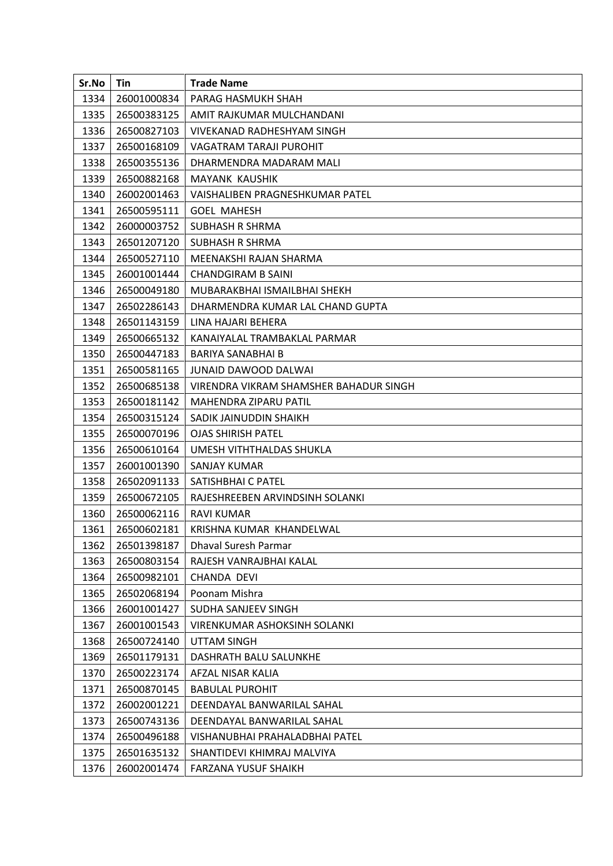| Sr.No | Tin         | <b>Trade Name</b>                      |
|-------|-------------|----------------------------------------|
| 1334  | 26001000834 | PARAG HASMUKH SHAH                     |
| 1335  | 26500383125 | AMIT RAJKUMAR MULCHANDANI              |
| 1336  | 26500827103 | VIVEKANAD RADHESHYAM SINGH             |
| 1337  | 26500168109 | <b>VAGATRAM TARAJI PUROHIT</b>         |
| 1338  | 26500355136 | DHARMENDRA MADARAM MALI                |
| 1339  | 26500882168 | <b>MAYANK KAUSHIK</b>                  |
| 1340  | 26002001463 | VAISHALIBEN PRAGNESHKUMAR PATEL        |
| 1341  | 26500595111 | <b>GOEL MAHESH</b>                     |
| 1342  | 26000003752 | <b>SUBHASH R SHRMA</b>                 |
| 1343  | 26501207120 | SUBHASH R SHRMA                        |
| 1344  | 26500527110 | MEENAKSHI RAJAN SHARMA                 |
| 1345  | 26001001444 | <b>CHANDGIRAM B SAINI</b>              |
| 1346  | 26500049180 | MUBARAKBHAI ISMAILBHAI SHEKH           |
| 1347  | 26502286143 | DHARMENDRA KUMAR LAL CHAND GUPTA       |
| 1348  | 26501143159 | LINA HAJARI BEHERA                     |
| 1349  | 26500665132 | KANAIYALAL TRAMBAKLAL PARMAR           |
| 1350  | 26500447183 | <b>BARIYA SANABHAI B</b>               |
| 1351  | 26500581165 | <b>JUNAID DAWOOD DALWAI</b>            |
| 1352  | 26500685138 | VIRENDRA VIKRAM SHAMSHER BAHADUR SINGH |
| 1353  | 26500181142 | MAHENDRA ZIPARU PATIL                  |
| 1354  | 26500315124 | SADIK JAINUDDIN SHAIKH                 |
| 1355  | 26500070196 | <b>OJAS SHIRISH PATEL</b>              |
| 1356  | 26500610164 | UMESH VITHTHALDAS SHUKLA               |
| 1357  | 26001001390 | SANJAY KUMAR                           |
| 1358  | 26502091133 | SATISHBHAI C PATEL                     |
| 1359  | 26500672105 | RAJESHREEBEN ARVINDSINH SOLANKI        |
| 1360  | 26500062116 | RAVI KUMAR                             |
| 1361  | 26500602181 | KRISHNA KUMAR KHANDELWAL               |
| 1362  | 26501398187 | Dhaval Suresh Parmar                   |
| 1363  | 26500803154 | RAJESH VANRAJBHAI KALAL                |
| 1364  | 26500982101 | CHANDA DEVI                            |
| 1365  | 26502068194 | Poonam Mishra                          |
| 1366  | 26001001427 | SUDHA SANJEEV SINGH                    |
| 1367  | 26001001543 | VIRENKUMAR ASHOKSINH SOLANKI           |
| 1368  | 26500724140 | UTTAM SINGH                            |
| 1369  | 26501179131 | DASHRATH BALU SALUNKHE                 |
| 1370  | 26500223174 | AFZAL NISAR KALIA                      |
| 1371  | 26500870145 | <b>BABULAL PUROHIT</b>                 |
| 1372  | 26002001221 | DEENDAYAL BANWARILAL SAHAL             |
| 1373  | 26500743136 | DEENDAYAL BANWARILAL SAHAL             |
| 1374  | 26500496188 | VISHANUBHAI PRAHALADBHAI PATEL         |
| 1375  | 26501635132 | SHANTIDEVI KHIMRAJ MALVIYA             |
| 1376  | 26002001474 | FARZANA YUSUF SHAIKH                   |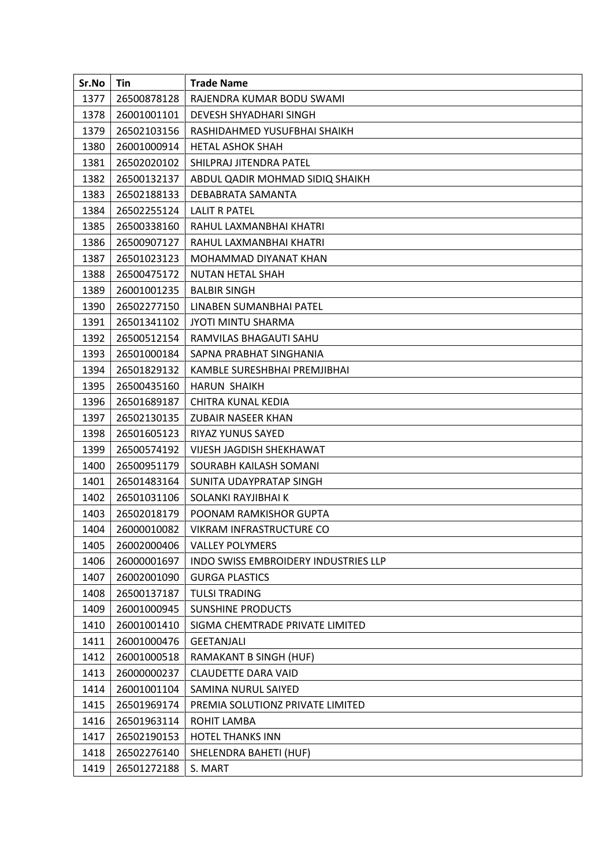| Sr.No | Tin         | <b>Trade Name</b>                           |
|-------|-------------|---------------------------------------------|
| 1377  | 26500878128 | RAJENDRA KUMAR BODU SWAMI                   |
| 1378  | 26001001101 | DEVESH SHYADHARI SINGH                      |
| 1379  | 26502103156 | RASHIDAHMED YUSUFBHAI SHAIKH                |
| 1380  | 26001000914 | <b>HETAL ASHOK SHAH</b>                     |
| 1381  | 26502020102 | SHILPRAJ JITENDRA PATEL                     |
| 1382  | 26500132137 | ABDUL QADIR MOHMAD SIDIQ SHAIKH             |
| 1383  | 26502188133 | DEBABRATA SAMANTA                           |
| 1384  | 26502255124 | LALIT R PATEL                               |
| 1385  | 26500338160 | RAHUL LAXMANBHAI KHATRI                     |
| 1386  | 26500907127 | RAHUL LAXMANBHAI KHATRI                     |
| 1387  | 26501023123 | MOHAMMAD DIYANAT KHAN                       |
| 1388  | 26500475172 | NUTAN HETAL SHAH                            |
| 1389  | 26001001235 | <b>BALBIR SINGH</b>                         |
| 1390  | 26502277150 | LINABEN SUMANBHAI PATEL                     |
| 1391  | 26501341102 | <b>JYOTI MINTU SHARMA</b>                   |
| 1392  | 26500512154 | RAMVILAS BHAGAUTI SAHU                      |
| 1393  | 26501000184 | SAPNA PRABHAT SINGHANIA                     |
| 1394  | 26501829132 | KAMBLE SURESHBHAI PREMJIBHAI                |
| 1395  | 26500435160 | <b>HARUN SHAIKH</b>                         |
| 1396  | 26501689187 | CHITRA KUNAL KEDIA                          |
| 1397  | 26502130135 | ZUBAIR NASEER KHAN                          |
| 1398  | 26501605123 | RIYAZ YUNUS SAYED                           |
| 1399  | 26500574192 | VIJESH JAGDISH SHEKHAWAT                    |
| 1400  | 26500951179 | SOURABH KAILASH SOMANI                      |
| 1401  | 26501483164 | SUNITA UDAYPRATAP SINGH                     |
| 1402  | 26501031106 | SOLANKI RAYJIBHAI K                         |
| 1403  | 26502018179 | POONAM RAMKISHOR GUPTA                      |
| 1404  | 26000010082 | VIKRAM INFRASTRUCTURE CO                    |
| 1405  | 26002000406 | <b>VALLEY POLYMERS</b>                      |
| 1406  | 26000001697 | <b>INDO SWISS EMBROIDERY INDUSTRIES LLP</b> |
| 1407  | 26002001090 | <b>GURGA PLASTICS</b>                       |
| 1408  | 26500137187 | <b>TULSI TRADING</b>                        |
| 1409  | 26001000945 | <b>SUNSHINE PRODUCTS</b>                    |
| 1410  | 26001001410 | SIGMA CHEMTRADE PRIVATE LIMITED             |
| 1411  | 26001000476 | <b>GEETANJALI</b>                           |
| 1412  | 26001000518 | RAMAKANT B SINGH (HUF)                      |
| 1413  | 26000000237 | CLAUDETTE DARA VAID                         |
| 1414  | 26001001104 | SAMINA NURUL SAIYED                         |
| 1415  | 26501969174 | PREMIA SOLUTIONZ PRIVATE LIMITED            |
| 1416  | 26501963114 | ROHIT LAMBA                                 |
| 1417  | 26502190153 | <b>HOTEL THANKS INN</b>                     |
| 1418  | 26502276140 | SHELENDRA BAHETI (HUF)                      |
| 1419  | 26501272188 | S. MART                                     |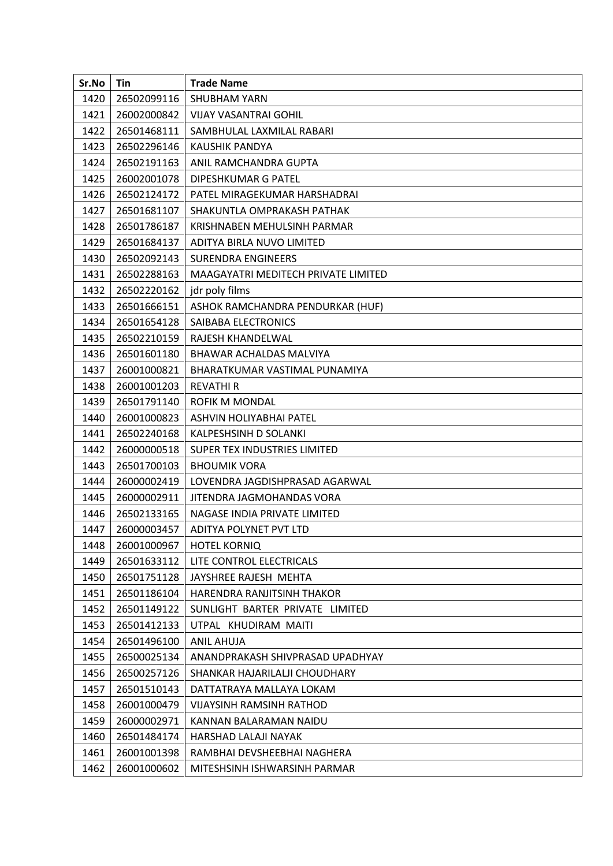| Sr.No | Tin         | <b>Trade Name</b>                   |
|-------|-------------|-------------------------------------|
| 1420  | 26502099116 | <b>SHUBHAM YARN</b>                 |
| 1421  | 26002000842 | <b>VIJAY VASANTRAI GOHIL</b>        |
| 1422  | 26501468111 | SAMBHULAL LAXMILAL RABARI           |
| 1423  | 26502296146 | KAUSHIK PANDYA                      |
| 1424  | 26502191163 | ANIL RAMCHANDRA GUPTA               |
| 1425  | 26002001078 | DIPESHKUMAR G PATEL                 |
| 1426  | 26502124172 | PATEL MIRAGEKUMAR HARSHADRAI        |
| 1427  | 26501681107 | SHAKUNTLA OMPRAKASH PATHAK          |
| 1428  | 26501786187 | KRISHNABEN MEHULSINH PARMAR         |
| 1429  | 26501684137 | ADITYA BIRLA NUVO LIMITED           |
| 1430  | 26502092143 | <b>SURENDRA ENGINEERS</b>           |
| 1431  | 26502288163 | MAAGAYATRI MEDITECH PRIVATE LIMITED |
| 1432  | 26502220162 | jdr poly films                      |
| 1433  | 26501666151 | ASHOK RAMCHANDRA PENDURKAR (HUF)    |
| 1434  | 26501654128 | SAIBABA ELECTRONICS                 |
| 1435  | 26502210159 | RAJESH KHANDELWAL                   |
| 1436  | 26501601180 | BHAWAR ACHALDAS MALVIYA             |
| 1437  | 26001000821 | BHARATKUMAR VASTIMAL PUNAMIYA       |
| 1438  | 26001001203 | <b>REVATHIR</b>                     |
| 1439  | 26501791140 | ROFIK M MONDAL                      |
| 1440  | 26001000823 | ASHVIN HOLIYABHAI PATEL             |
| 1441  | 26502240168 | KALPESHSINH D SOLANKI               |
| 1442  | 26000000518 | SUPER TEX INDUSTRIES LIMITED        |
| 1443  | 26501700103 | <b>BHOUMIK VORA</b>                 |
| 1444  | 26000002419 | LOVENDRA JAGDISHPRASAD AGARWAL      |
| 1445  | 26000002911 | JITENDRA JAGMOHANDAS VORA           |
| 1446  | 26502133165 | NAGASE INDIA PRIVATE LIMITED        |
| 1447  | 26000003457 | ADITYA POLYNET PVT LTD              |
| 1448  | 26001000967 | <b>HOTEL KORNIQ</b>                 |
| 1449  | 26501633112 | LITE CONTROL ELECTRICALS            |
| 1450  | 26501751128 | JAYSHREE RAJESH MEHTA               |
| 1451  | 26501186104 | HARENDRA RANJITSINH THAKOR          |
| 1452  | 26501149122 | SUNLIGHT BARTER PRIVATE LIMITED     |
| 1453  | 26501412133 | UTPAL KHUDIRAM MAITI                |
| 1454  | 26501496100 | <b>ANIL AHUJA</b>                   |
| 1455  | 26500025134 | ANANDPRAKASH SHIVPRASAD UPADHYAY    |
| 1456  | 26500257126 | SHANKAR HAJARILALJI CHOUDHARY       |
| 1457  | 26501510143 | DATTATRAYA MALLAYA LOKAM            |
| 1458  | 26001000479 | <b>VIJAYSINH RAMSINH RATHOD</b>     |
| 1459  | 26000002971 | KANNAN BALARAMAN NAIDU              |
| 1460  | 26501484174 | HARSHAD LALAJI NAYAK                |
| 1461  | 26001001398 | RAMBHAI DEVSHEEBHAI NAGHERA         |
| 1462  | 26001000602 | MITESHSINH ISHWARSINH PARMAR        |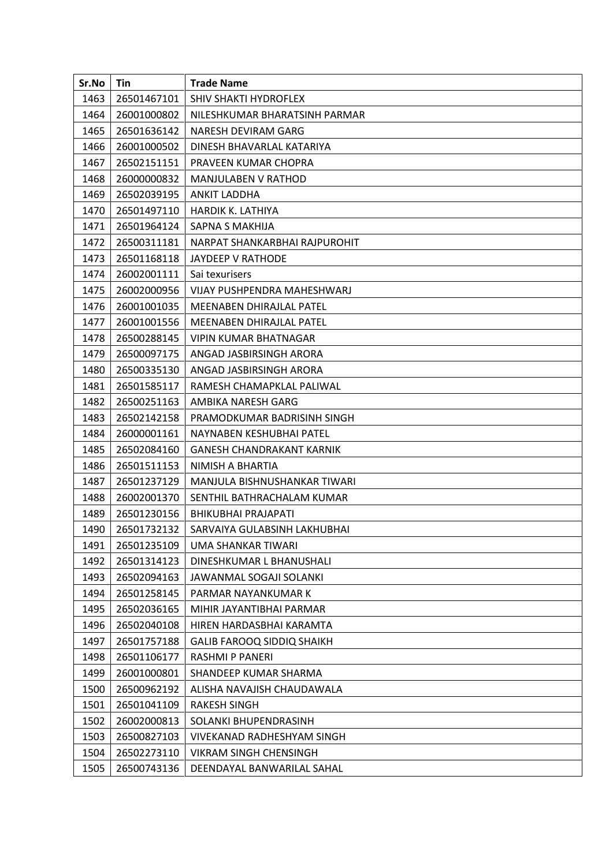| Sr.No | Tin         | <b>Trade Name</b>                 |
|-------|-------------|-----------------------------------|
| 1463  | 26501467101 | SHIV SHAKTI HYDROFLEX             |
| 1464  | 26001000802 | NILESHKUMAR BHARATSINH PARMAR     |
| 1465  | 26501636142 | NARESH DEVIRAM GARG               |
| 1466  | 26001000502 | DINESH BHAVARLAL KATARIYA         |
| 1467  | 26502151151 | PRAVEEN KUMAR CHOPRA              |
| 1468  | 26000000832 | MANJULABEN V RATHOD               |
| 1469  | 26502039195 | <b>ANKIT LADDHA</b>               |
| 1470  | 26501497110 | <b>HARDIK K. LATHIYA</b>          |
| 1471  | 26501964124 | SAPNA S MAKHIJA                   |
| 1472  | 26500311181 | NARPAT SHANKARBHAI RAJPUROHIT     |
| 1473  | 26501168118 | JAYDEEP V RATHODE                 |
| 1474  | 26002001111 | Sai texurisers                    |
| 1475  | 26002000956 | VIJAY PUSHPENDRA MAHESHWARJ       |
| 1476  | 26001001035 | MEENABEN DHIRAJLAL PATEL          |
| 1477  | 26001001556 | MEENABEN DHIRAJLAL PATEL          |
| 1478  | 26500288145 | <b>VIPIN KUMAR BHATNAGAR</b>      |
| 1479  | 26500097175 | ANGAD JASBIRSINGH ARORA           |
| 1480  | 26500335130 | ANGAD JASBIRSINGH ARORA           |
| 1481  | 26501585117 | RAMESH CHAMAPKLAL PALIWAL         |
| 1482  | 26500251163 | AMBIKA NARESH GARG                |
| 1483  | 26502142158 | PRAMODKUMAR BADRISINH SINGH       |
| 1484  | 26000001161 | NAYNABEN KESHUBHAI PATEL          |
| 1485  | 26502084160 | <b>GANESH CHANDRAKANT KARNIK</b>  |
| 1486  | 26501511153 | NIMISH A BHARTIA                  |
| 1487  | 26501237129 | MANJULA BISHNUSHANKAR TIWARI      |
| 1488  | 26002001370 | SENTHIL BATHRACHALAM KUMAR        |
| 1489  | 26501230156 | <b>BHIKUBHAI PRAJAPATI</b>        |
| 1490  | 26501732132 | SARVAIYA GULABSINH LAKHUBHAI      |
| 1491  | 26501235109 | UMA SHANKAR TIWARI                |
| 1492  | 26501314123 | DINESHKUMAR L BHANUSHALI          |
| 1493  | 26502094163 | JAWANMAL SOGAJI SOLANKI           |
| 1494  | 26501258145 | PARMAR NAYANKUMAR K               |
| 1495  | 26502036165 | MIHIR JAYANTIBHAI PARMAR          |
| 1496  | 26502040108 | HIREN HARDASBHAI KARAMTA          |
| 1497  | 26501757188 | <b>GALIB FAROOQ SIDDIQ SHAIKH</b> |
| 1498  | 26501106177 | RASHMI P PANERI                   |
| 1499  | 26001000801 | SHANDEEP KUMAR SHARMA             |
| 1500  | 26500962192 | ALISHA NAVAJISH CHAUDAWALA        |
| 1501  | 26501041109 | RAKESH SINGH                      |
| 1502  | 26002000813 | SOLANKI BHUPENDRASINH             |
| 1503  | 26500827103 | <b>VIVEKANAD RADHESHYAM SINGH</b> |
| 1504  | 26502273110 | VIKRAM SINGH CHENSINGH            |
| 1505  | 26500743136 | DEENDAYAL BANWARILAL SAHAL        |